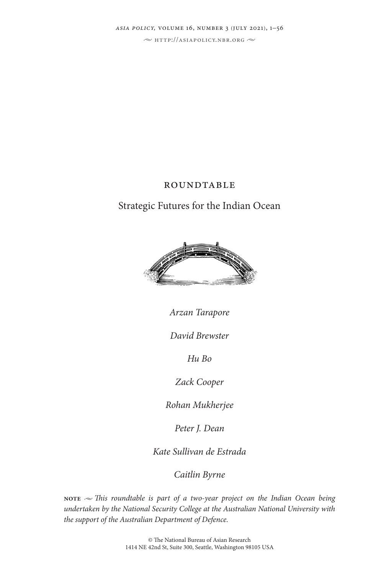*asia policy,* volume 16, number 3 (july 2021), 1–56

 $\sim$  http://asiapolicy.nbr.org  $\sim$ 

## **ROUNDTABLE**

# Strategic Futures for the Indian Ocean



*Arzan Tarapore*

*David Brewster*

*Hu Bo*

*Zack Cooper*

*Rohan Mukherjee*

*Peter J. Dean*

*Kate Sullivan de Estrada*

*Caitlin Byrne*

**NOTE**  $\sim$  *This roundtable is part of a two-year project on the Indian Ocean being undertaken by the National Security College at the Australian National University with the support of the Australian Department of Defence.*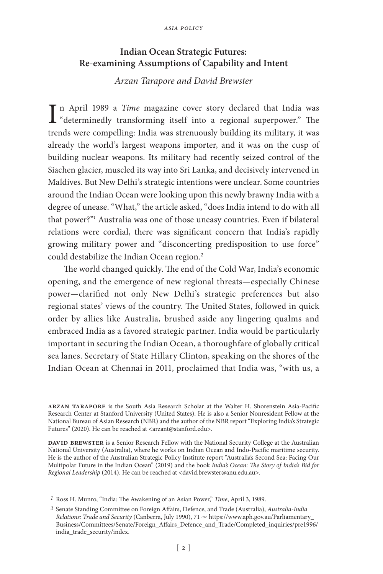### **Indian Ocean Strategic Futures: Re-examining Assumptions of Capability and Intent**

### *Arzan Tarapore and David Brewster*

In April 1989 a *Time* magazine cover story declared that India was<br>"determinedly transforming itself into a regional superpower." The "determinedly transforming itself into a regional superpower." The trends were compelling: India was strenuously building its military, it was already the world's largest weapons importer, and it was on the cusp of building nuclear weapons. Its military had recently seized control of the Siachen glacier, muscled its way into Sri Lanka, and decisively intervened in Maldives. But New Delhi's strategic intentions were unclear. Some countries around the Indian Ocean were looking upon this newly brawny India with a degree of unease. "What," the article asked, "does India intend to do with all that power?"*<sup>1</sup>* Australia was one of those uneasy countries. Even if bilateral relations were cordial, there was significant concern that India's rapidly growing military power and "disconcerting predisposition to use force" could destabilize the Indian Ocean region.*<sup>2</sup>*

The world changed quickly. The end of the Cold War, India's economic opening, and the emergence of new regional threats—especially Chinese power—clarified not only New Delhi's strategic preferences but also regional states' views of the country. The United States, followed in quick order by allies like Australia, brushed aside any lingering qualms and embraced India as a favored strategic partner. India would be particularly important in securing the Indian Ocean, a thoroughfare of globally critical sea lanes. Secretary of State Hillary Clinton, speaking on the shores of the Indian Ocean at Chennai in 2011, proclaimed that India was, "with us, a

**arzan tarapore** is the South Asia Research Scholar at the Walter H. Shorenstein Asia-Pacific Research Center at Stanford University (United States). He is also a Senior Nonresident Fellow at the National Bureau of Asian Research (NBR) and the author of the NBR report "Exploring India's Strategic Futures" (2020). He can be reached at <arzant@stanford.edu>.

DAVID BREWSTER is a Senior Research Fellow with the National Security College at the Australian National University (Australia), where he works on Indian Ocean and Indo-Pacific maritime security. He is the author of the Australian Strategic Policy Institute report "Australia's Second Sea: Facing Our Multipolar Future in the Indian Ocean" (2019) and the book *India's Ocean: The Story of India's Bid for Regional Leadership* (2014). He can be reached at <david.brewster@anu.edu.au>.

*<sup>1</sup>* Ross H. Munro, "India: The Awakening of an Asian Power," *Time*, April 3, 1989.

*<sup>2</sup>* Senate Standing Committee on Foreign Affairs, Defence, and Trade (Australia), *Australia-India Relations: Trade and Security* (Canberra, July 1990), 71  $\sim$  https://www.aph.gov.au/Parliamentary\_ Business/Committees/Senate/Foreign\_Affairs\_Defence\_and\_Trade/Completed\_inquiries/pre1996/ india\_trade\_security/index.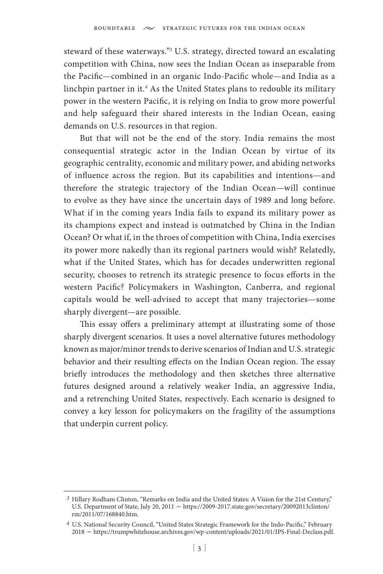steward of these waterways."*<sup>3</sup>* U.S. strategy, directed toward an escalating competition with China, now sees the Indian Ocean as inseparable from the Pacific—combined in an organic Indo-Pacific whole—and India as a linchpin partner in it.*<sup>4</sup>* As the United States plans to redouble its military power in the western Pacific, it is relying on India to grow more powerful and help safeguard their shared interests in the Indian Ocean, easing demands on U.S. resources in that region.

But that will not be the end of the story. India remains the most consequential strategic actor in the Indian Ocean by virtue of its geographic centrality, economic and military power, and abiding networks of influence across the region. But its capabilities and intentions—and therefore the strategic trajectory of the Indian Ocean—will continue to evolve as they have since the uncertain days of 1989 and long before. What if in the coming years India fails to expand its military power as its champions expect and instead is outmatched by China in the Indian Ocean? Or what if, in the throes of competition with China, India exercises its power more nakedly than its regional partners would wish? Relatedly, what if the United States, which has for decades underwritten regional security, chooses to retrench its strategic presence to focus efforts in the western Pacific? Policymakers in Washington, Canberra, and regional capitals would be well-advised to accept that many trajectories—some sharply divergent—are possible.

This essay offers a preliminary attempt at illustrating some of those sharply divergent scenarios. It uses a novel alternative futures methodology known as major/minor trends to derive scenarios of Indian and U.S. strategic behavior and their resulting effects on the Indian Ocean region. The essay briefly introduces the methodology and then sketches three alternative futures designed around a relatively weaker India, an aggressive India, and a retrenching United States, respectively. Each scenario is designed to convey a key lesson for policymakers on the fragility of the assumptions that underpin current policy.

*<sup>3</sup>* Hillary Rodham Clinton, "Remarks on India and the United States: A Vision for the 21st Century," U.S. Department of State, July 20, 2011  $\sim$  https://2009-2017.state.gov/secretary/20092013clinton/ rm/2011/07/168840.htm.

*<sup>4</sup>* U.S. National Security Council, "United States Strategic Framework for the Indo-Pacific," February 2018 u https://trumpwhitehouse.archives.gov/wp-content/uploads/2021/01/IPS-Final-Declass.pdf.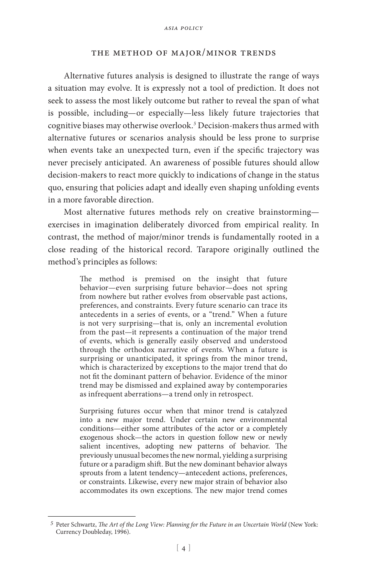#### the method of major/minor trends

Alternative futures analysis is designed to illustrate the range of ways a situation may evolve. It is expressly not a tool of prediction. It does not seek to assess the most likely outcome but rather to reveal the span of what is possible, including—or especially—less likely future trajectories that cognitive biases may otherwise overlook.*<sup>5</sup>* Decision-makers thus armed with alternative futures or scenarios analysis should be less prone to surprise when events take an unexpected turn, even if the specific trajectory was never precisely anticipated. An awareness of possible futures should allow decision-makers to react more quickly to indications of change in the status quo, ensuring that policies adapt and ideally even shaping unfolding events in a more favorable direction.

Most alternative futures methods rely on creative brainstorming exercises in imagination deliberately divorced from empirical reality. In contrast, the method of major/minor trends is fundamentally rooted in a close reading of the historical record. Tarapore originally outlined the method's principles as follows:

> The method is premised on the insight that future behavior—even surprising future behavior—does not spring from nowhere but rather evolves from observable past actions, preferences, and constraints. Every future scenario can trace its antecedents in a series of events, or a "trend." When a future is not very surprising—that is, only an incremental evolution from the past—it represents a continuation of the major trend of events, which is generally easily observed and understood through the orthodox narrative of events. When a future is surprising or unanticipated, it springs from the minor trend, which is characterized by exceptions to the major trend that do not fit the dominant pattern of behavior. Evidence of the minor trend may be dismissed and explained away by contemporaries as infrequent aberrations—a trend only in retrospect.

> Surprising futures occur when that minor trend is catalyzed into a new major trend. Under certain new environmental conditions—either some attributes of the actor or a completely exogenous shock—the actors in question follow new or newly salient incentives, adopting new patterns of behavior. The previously unusual becomes the new normal, yielding a surprising future or a paradigm shift. But the new dominant behavior always sprouts from a latent tendency—antecedent actions, preferences, or constraints. Likewise, every new major strain of behavior also accommodates its own exceptions. The new major trend comes

*<sup>5</sup>* Peter Schwartz, *The Art of the Long View: Planning for the Future in an Uncertain World* (New York: Currency Doubleday, 1996).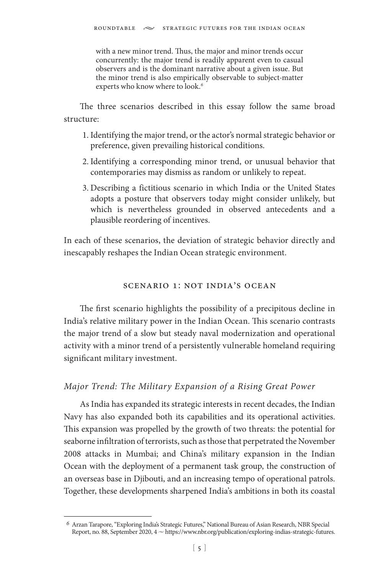with a new minor trend. Thus, the major and minor trends occur concurrently: the major trend is readily apparent even to casual observers and is the dominant narrative about a given issue. But the minor trend is also empirically observable to subject-matter experts who know where to look.*<sup>6</sup>*

The three scenarios described in this essay follow the same broad structure:

- 1. Identifying the major trend, or the actor's normal strategic behavior or preference, given prevailing historical conditions.
- 2. Identifying a corresponding minor trend, or unusual behavior that contemporaries may dismiss as random or unlikely to repeat.
- 3. Describing a fictitious scenario in which India or the United States adopts a posture that observers today might consider unlikely, but which is nevertheless grounded in observed antecedents and a plausible reordering of incentives.

In each of these scenarios, the deviation of strategic behavior directly and inescapably reshapes the Indian Ocean strategic environment.

## scenario 1: not india's ocean

The first scenario highlights the possibility of a precipitous decline in India's relative military power in the Indian Ocean. This scenario contrasts the major trend of a slow but steady naval modernization and operational activity with a minor trend of a persistently vulnerable homeland requiring significant military investment.

## *Major Trend: The Military Expansion of a Rising Great Power*

As India has expanded its strategic interests in recent decades, the Indian Navy has also expanded both its capabilities and its operational activities. This expansion was propelled by the growth of two threats: the potential for seaborne infiltration of terrorists, such as those that perpetrated the November 2008 attacks in Mumbai; and China's military expansion in the Indian Ocean with the deployment of a permanent task group, the construction of an overseas base in Djibouti, and an increasing tempo of operational patrols. Together, these developments sharpened India's ambitions in both its coastal

*<sup>6</sup>* Arzan Tarapore, "Exploring India's Strategic Futures," National Bureau of Asian Research, NBR Special Report, no. 88, September 2020, 4 ~ https://www.nbr.org/publication/exploring-indias-strategic-futures.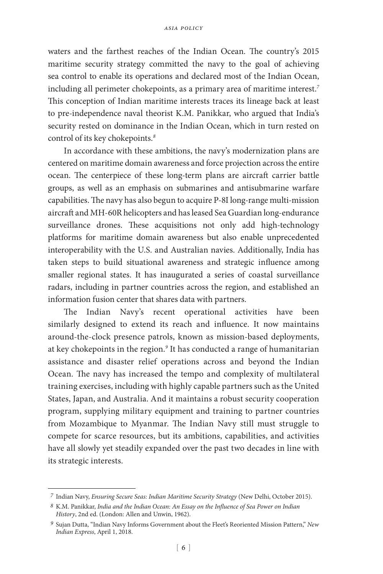waters and the farthest reaches of the Indian Ocean. The country's 2015 maritime security strategy committed the navy to the goal of achieving sea control to enable its operations and declared most of the Indian Ocean, including all perimeter chokepoints, as a primary area of maritime interest.*<sup>7</sup>* This conception of Indian maritime interests traces its lineage back at least to pre-independence naval theorist K.M. Panikkar, who argued that India's security rested on dominance in the Indian Ocean, which in turn rested on control of its key chokepoints.*<sup>8</sup>*

In accordance with these ambitions, the navy's modernization plans are centered on maritime domain awareness and force projection across the entire ocean. The centerpiece of these long-term plans are aircraft carrier battle groups, as well as an emphasis on submarines and antisubmarine warfare capabilities. The navy has also begun to acquire P-8I long-range multi-mission aircraft and MH-60R helicopters and has leased Sea Guardian long-endurance surveillance drones. These acquisitions not only add high-technology platforms for maritime domain awareness but also enable unprecedented interoperability with the U.S. and Australian navies. Additionally, India has taken steps to build situational awareness and strategic influence among smaller regional states. It has inaugurated a series of coastal surveillance radars, including in partner countries across the region, and established an information fusion center that shares data with partners.

The Indian Navy's recent operational activities have been similarly designed to extend its reach and influence. It now maintains around-the-clock presence patrols, known as mission-based deployments, at key chokepoints in the region.*<sup>9</sup>* It has conducted a range of humanitarian assistance and disaster relief operations across and beyond the Indian Ocean. The navy has increased the tempo and complexity of multilateral training exercises, including with highly capable partners such as the United States, Japan, and Australia. And it maintains a robust security cooperation program, supplying military equipment and training to partner countries from Mozambique to Myanmar. The Indian Navy still must struggle to compete for scarce resources, but its ambitions, capabilities, and activities have all slowly yet steadily expanded over the past two decades in line with its strategic interests.

*<sup>7</sup>* Indian Navy, *Ensuring Secure Seas: Indian Maritime Security Strategy* (New Delhi, October 2015).

*<sup>8</sup>* K.M. Panikkar, *India and the Indian Ocean: An Essay on the Influence of Sea Power on Indian History*, 2nd ed. (London: Allen and Unwin, 1962).

*<sup>9</sup>* Sujan Dutta, "Indian Navy Informs Government about the Fleet's Reoriented Mission Pattern," *New Indian Express*, April 1, 2018.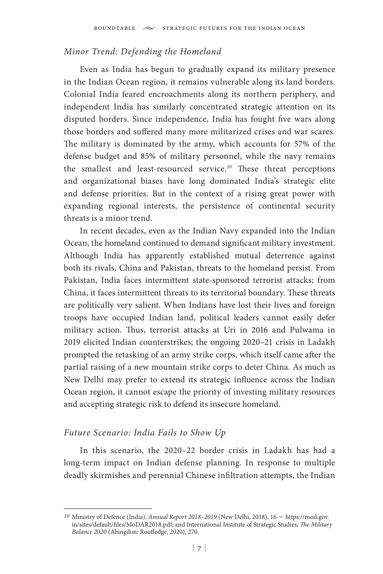### *Minor Trend: Defending the Homeland*

Even as India has begun to gradually expand its military presence in the Indian Ocean region, it remains vulnerable along its land borders. Colonial India feared encroachments along its northern periphery, and independent India has similarly concentrated strategic attention on its disputed borders. Since independence, India has fought five wars along those borders and suffered many more militarized crises and war scares. The military is dominated by the army, which accounts for 57% of the defense budget and 85% of military personnel, while the navy remains the smallest and least-resourced service.*<sup>10</sup>* These threat perceptions and organizational biases have long dominated India's strategic elite and defense priorities. But in the context of a rising great power with expanding regional interests, the persistence of continental security threats is a minor trend.

In recent decades, even as the Indian Navy expanded into the Indian Ocean, the homeland continued to demand significant military investment. Although India has apparently established mutual deterrence against both its rivals, China and Pakistan, threats to the homeland persist. From Pakistan, India faces intermittent state-sponsored terrorist attacks; from China, it faces intermittent threats to its territorial boundary. These threats are politically very salient. When Indians have lost their lives and foreign troops have occupied Indian land, political leaders cannot easily defer military action. Thus, terrorist attacks at Uri in 2016 and Pulwama in 2019 elicited Indian counterstrikes; the ongoing 2020–21 crisis in Ladakh prompted the retasking of an army strike corps, which itself came after the partial raising of a new mountain strike corps to deter China. As much as New Delhi may prefer to extend its strategic influence across the Indian Ocean region, it cannot escape the priority of investing military resources and accepting strategic risk to defend its insecure homeland.

## *Future Scenario: India Fails to Show Up*

In this scenario, the 2020–22 border crisis in Ladakh has had a long-term impact on Indian defense planning. In response to multiple deadly skirmishes and perennial Chinese infiltration attempts, the Indian

*<sup>10</sup>* Ministry of Defence (India), *Annual Report 2018-2019* (New Delhi, 2018), 16 ∼ https://mod.gov. in/sites/default/files/MoDAR2018.pdf; and International Institute of Strategic Studies, *The Military Balance 2020* (Abingdon: Routledge, 2020), 270.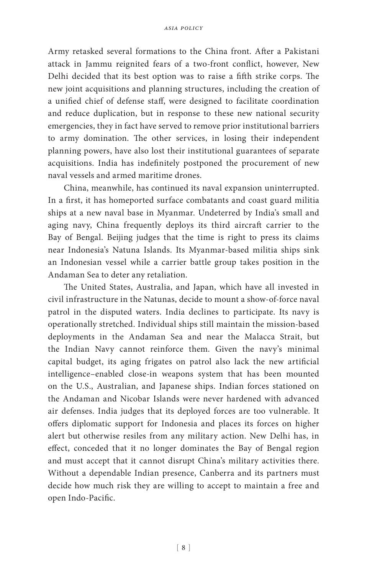Army retasked several formations to the China front. After a Pakistani attack in Jammu reignited fears of a two-front conflict, however, New Delhi decided that its best option was to raise a fifth strike corps. The new joint acquisitions and planning structures, including the creation of a unified chief of defense staff, were designed to facilitate coordination and reduce duplication, but in response to these new national security emergencies, they in fact have served to remove prior institutional barriers to army domination. The other services, in losing their independent planning powers, have also lost their institutional guarantees of separate acquisitions. India has indefinitely postponed the procurement of new naval vessels and armed maritime drones.

China, meanwhile, has continued its naval expansion uninterrupted. In a first, it has homeported surface combatants and coast guard militia ships at a new naval base in Myanmar. Undeterred by India's small and aging navy, China frequently deploys its third aircraft carrier to the Bay of Bengal. Beijing judges that the time is right to press its claims near Indonesia's Natuna Islands. Its Myanmar-based militia ships sink an Indonesian vessel while a carrier battle group takes position in the Andaman Sea to deter any retaliation.

The United States, Australia, and Japan, which have all invested in civil infrastructure in the Natunas, decide to mount a show-of-force naval patrol in the disputed waters. India declines to participate. Its navy is operationally stretched. Individual ships still maintain the mission-based deployments in the Andaman Sea and near the Malacca Strait, but the Indian Navy cannot reinforce them. Given the navy's minimal capital budget, its aging frigates on patrol also lack the new artificial intelligence–enabled close-in weapons system that has been mounted on the U.S., Australian, and Japanese ships. Indian forces stationed on the Andaman and Nicobar Islands were never hardened with advanced air defenses. India judges that its deployed forces are too vulnerable. It offers diplomatic support for Indonesia and places its forces on higher alert but otherwise resiles from any military action. New Delhi has, in effect, conceded that it no longer dominates the Bay of Bengal region and must accept that it cannot disrupt China's military activities there. Without a dependable Indian presence, Canberra and its partners must decide how much risk they are willing to accept to maintain a free and open Indo-Pacific.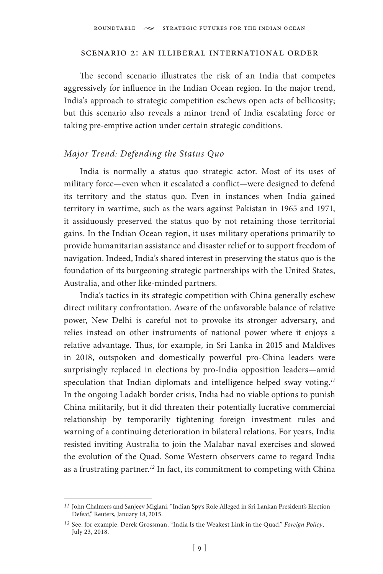#### scenario 2: an illiberal international order

The second scenario illustrates the risk of an India that competes aggressively for influence in the Indian Ocean region. In the major trend, India's approach to strategic competition eschews open acts of bellicosity; but this scenario also reveals a minor trend of India escalating force or taking pre-emptive action under certain strategic conditions.

### *Major Trend: Defending the Status Quo*

India is normally a status quo strategic actor. Most of its uses of military force—even when it escalated a conflict—were designed to defend its territory and the status quo. Even in instances when India gained territory in wartime, such as the wars against Pakistan in 1965 and 1971, it assiduously preserved the status quo by not retaining those territorial gains. In the Indian Ocean region, it uses military operations primarily to provide humanitarian assistance and disaster relief or to support freedom of navigation. Indeed, India's shared interest in preserving the status quo is the foundation of its burgeoning strategic partnerships with the United States, Australia, and other like-minded partners.

India's tactics in its strategic competition with China generally eschew direct military confrontation. Aware of the unfavorable balance of relative power, New Delhi is careful not to provoke its stronger adversary, and relies instead on other instruments of national power where it enjoys a relative advantage. Thus, for example, in Sri Lanka in 2015 and Maldives in 2018, outspoken and domestically powerful pro-China leaders were surprisingly replaced in elections by pro-India opposition leaders—amid speculation that Indian diplomats and intelligence helped sway voting.*<sup>11</sup>* In the ongoing Ladakh border crisis, India had no viable options to punish China militarily, but it did threaten their potentially lucrative commercial relationship by temporarily tightening foreign investment rules and warning of a continuing deterioration in bilateral relations. For years, India resisted inviting Australia to join the Malabar naval exercises and slowed the evolution of the Quad. Some Western observers came to regard India as a frustrating partner.*<sup>12</sup>* In fact, its commitment to competing with China

*<sup>11</sup>* John Chalmers and Sanjeev Miglani, "Indian Spy's Role Alleged in Sri Lankan President's Election Defeat," Reuters, January 18, 2015.

*<sup>12</sup>* See, for example, Derek Grossman, "India Is the Weakest Link in the Quad," *Foreign Policy*, July 23, 2018.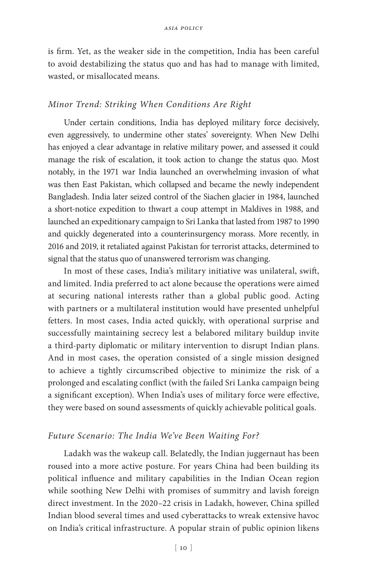is firm. Yet, as the weaker side in the competition, India has been careful to avoid destabilizing the status quo and has had to manage with limited, wasted, or misallocated means.

#### *Minor Trend: Striking When Conditions Are Right*

Under certain conditions, India has deployed military force decisively, even aggressively, to undermine other states' sovereignty. When New Delhi has enjoyed a clear advantage in relative military power, and assessed it could manage the risk of escalation, it took action to change the status quo. Most notably, in the 1971 war India launched an overwhelming invasion of what was then East Pakistan, which collapsed and became the newly independent Bangladesh. India later seized control of the Siachen glacier in 1984, launched a short-notice expedition to thwart a coup attempt in Maldives in 1988, and launched an expeditionary campaign to Sri Lanka that lasted from 1987 to 1990 and quickly degenerated into a counterinsurgency morass. More recently, in 2016 and 2019, it retaliated against Pakistan for terrorist attacks, determined to signal that the status quo of unanswered terrorism was changing.

In most of these cases, India's military initiative was unilateral, swift, and limited. India preferred to act alone because the operations were aimed at securing national interests rather than a global public good. Acting with partners or a multilateral institution would have presented unhelpful fetters. In most cases, India acted quickly, with operational surprise and successfully maintaining secrecy lest a belabored military buildup invite a third-party diplomatic or military intervention to disrupt Indian plans. And in most cases, the operation consisted of a single mission designed to achieve a tightly circumscribed objective to minimize the risk of a prolonged and escalating conflict (with the failed Sri Lanka campaign being a significant exception). When India's uses of military force were effective, they were based on sound assessments of quickly achievable political goals.

#### *Future Scenario: The India We've Been Waiting For?*

Ladakh was the wakeup call. Belatedly, the Indian juggernaut has been roused into a more active posture. For years China had been building its political influence and military capabilities in the Indian Ocean region while soothing New Delhi with promises of summitry and lavish foreign direct investment. In the 2020–22 crisis in Ladakh, however, China spilled Indian blood several times and used cyberattacks to wreak extensive havoc on India's critical infrastructure. A popular strain of public opinion likens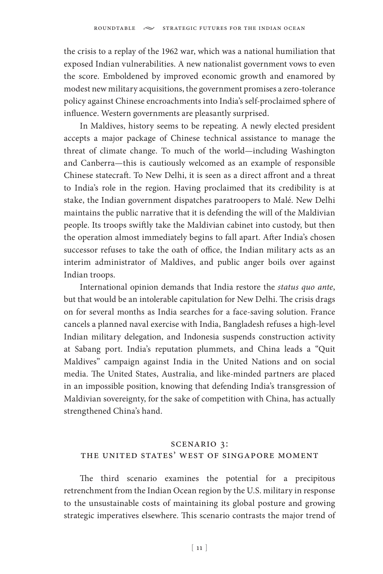the crisis to a replay of the 1962 war, which was a national humiliation that exposed Indian vulnerabilities. A new nationalist government vows to even the score. Emboldened by improved economic growth and enamored by modest new military acquisitions, the government promises a zero-tolerance policy against Chinese encroachments into India's self-proclaimed sphere of influence. Western governments are pleasantly surprised.

In Maldives, history seems to be repeating. A newly elected president accepts a major package of Chinese technical assistance to manage the threat of climate change. To much of the world—including Washington and Canberra—this is cautiously welcomed as an example of responsible Chinese statecraft. To New Delhi, it is seen as a direct affront and a threat to India's role in the region. Having proclaimed that its credibility is at stake, the Indian government dispatches paratroopers to Malé. New Delhi maintains the public narrative that it is defending the will of the Maldivian people. Its troops swiftly take the Maldivian cabinet into custody, but then the operation almost immediately begins to fall apart. After India's chosen successor refuses to take the oath of office, the Indian military acts as an interim administrator of Maldives, and public anger boils over against Indian troops.

International opinion demands that India restore the *status quo ante*, but that would be an intolerable capitulation for New Delhi. The crisis drags on for several months as India searches for a face-saving solution. France cancels a planned naval exercise with India, Bangladesh refuses a high-level Indian military delegation, and Indonesia suspends construction activity at Sabang port. India's reputation plummets, and China leads a "Quit Maldives" campaign against India in the United Nations and on social media. The United States, Australia, and like-minded partners are placed in an impossible position, knowing that defending India's transgression of Maldivian sovereignty, for the sake of competition with China, has actually strengthened China's hand.

## scenario 3: the united states' west of singapore moment

The third scenario examines the potential for a precipitous retrenchment from the Indian Ocean region by the U.S. military in response to the unsustainable costs of maintaining its global posture and growing strategic imperatives elsewhere. This scenario contrasts the major trend of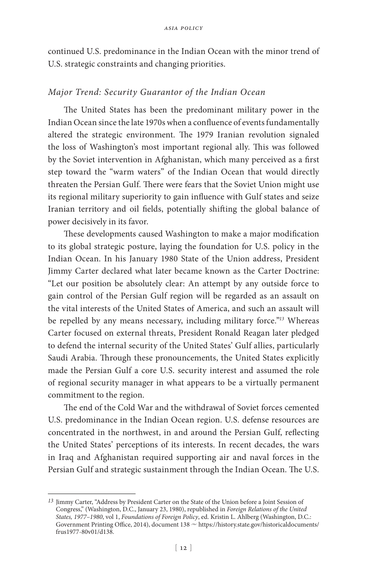continued U.S. predominance in the Indian Ocean with the minor trend of U.S. strategic constraints and changing priorities.

### *Major Trend: Security Guarantor of the Indian Ocean*

The United States has been the predominant military power in the Indian Ocean since the late 1970s when a confluence of events fundamentally altered the strategic environment. The 1979 Iranian revolution signaled the loss of Washington's most important regional ally. This was followed by the Soviet intervention in Afghanistan, which many perceived as a first step toward the "warm waters" of the Indian Ocean that would directly threaten the Persian Gulf. There were fears that the Soviet Union might use its regional military superiority to gain influence with Gulf states and seize Iranian territory and oil fields, potentially shifting the global balance of power decisively in its favor.

These developments caused Washington to make a major modification to its global strategic posture, laying the foundation for U.S. policy in the Indian Ocean. In his January 1980 State of the Union address, President Jimmy Carter declared what later became known as the Carter Doctrine: "Let our position be absolutely clear: An attempt by any outside force to gain control of the Persian Gulf region will be regarded as an assault on the vital interests of the United States of America, and such an assault will be repelled by any means necessary, including military force."*<sup>13</sup>* Whereas Carter focused on external threats, President Ronald Reagan later pledged to defend the internal security of the United States' Gulf allies, particularly Saudi Arabia. Through these pronouncements, the United States explicitly made the Persian Gulf a core U.S. security interest and assumed the role of regional security manager in what appears to be a virtually permanent commitment to the region.

The end of the Cold War and the withdrawal of Soviet forces cemented U.S. predominance in the Indian Ocean region. U.S. defense resources are concentrated in the northwest, in and around the Persian Gulf, reflecting the United States' perceptions of its interests. In recent decades, the wars in Iraq and Afghanistan required supporting air and naval forces in the Persian Gulf and strategic sustainment through the Indian Ocean. The U.S.

*<sup>13</sup>* Jimmy Carter, "Address by President Carter on the State of the Union before a Joint Session of Congress," (Washington, D.C., January 23, 1980), republished in *Foreign Relations of the United States, 1977–1980*, vol 1, *Foundations of Foreign Policy*, ed. Kristin L. Ahlberg (Washington, D.C.: Government Printing Office, 2014), document 138 ~ https://history.state.gov/historicaldocuments/ frus1977-80v01/d138.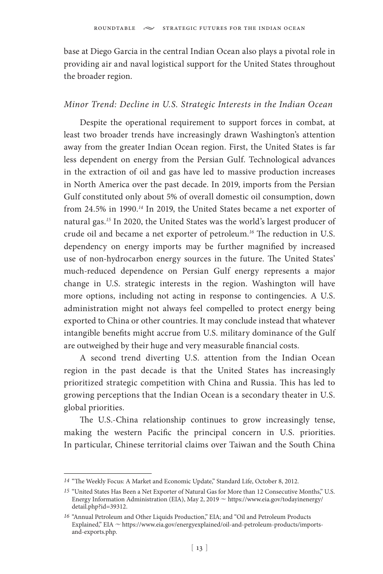base at Diego Garcia in the central Indian Ocean also plays a pivotal role in providing air and naval logistical support for the United States throughout the broader region.

#### *Minor Trend: Decline in U.S. Strategic Interests in the Indian Ocean*

Despite the operational requirement to support forces in combat, at least two broader trends have increasingly drawn Washington's attention away from the greater Indian Ocean region. First, the United States is far less dependent on energy from the Persian Gulf. Technological advances in the extraction of oil and gas have led to massive production increases in North America over the past decade. In 2019, imports from the Persian Gulf constituted only about 5% of overall domestic oil consumption, down from 24.5% in 1990.*<sup>14</sup>* In 2019, the United States became a net exporter of natural gas.*<sup>15</sup>* In 2020, the United States was the world's largest producer of crude oil and became a net exporter of petroleum.*<sup>16</sup>* The reduction in U.S. dependency on energy imports may be further magnified by increased use of non-hydrocarbon energy sources in the future. The United States' much-reduced dependence on Persian Gulf energy represents a major change in U.S. strategic interests in the region. Washington will have more options, including not acting in response to contingencies. A U.S. administration might not always feel compelled to protect energy being exported to China or other countries. It may conclude instead that whatever intangible benefits might accrue from U.S. military dominance of the Gulf are outweighed by their huge and very measurable financial costs.

A second trend diverting U.S. attention from the Indian Ocean region in the past decade is that the United States has increasingly prioritized strategic competition with China and Russia. This has led to growing perceptions that the Indian Ocean is a secondary theater in U.S. global priorities.

The U.S.-China relationship continues to grow increasingly tense, making the western Pacific the principal concern in U.S. priorities. In particular, Chinese territorial claims over Taiwan and the South China

*<sup>14</sup>* "The Weekly Focus: A Market and Economic Update," Standard Life, October 8, 2012.

*<sup>15</sup>* "United States Has Been a Net Exporter of Natural Gas for More than 12 Consecutive Months," U.S. Energy Information Administration (EIA), May 2, 2019  $\sim$  https://www.eia.gov/todayinenergy/ detail.php?id=39312.

*<sup>16</sup>* "Annual Petroleum and Other Liquids Production," EIA; and "Oil and Petroleum Products Explained," EIA ~ https://www.eia.gov/energyexplained/oil-and-petroleum-products/importsand-exports.php.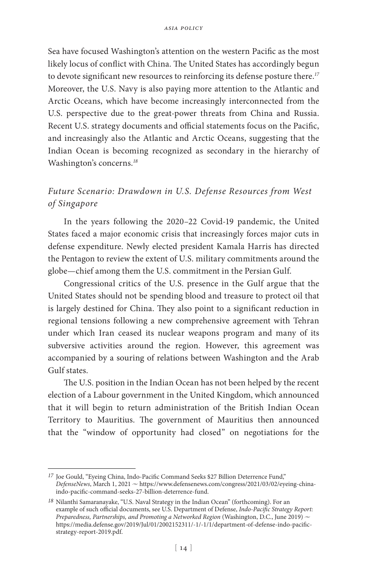Sea have focused Washington's attention on the western Pacific as the most likely locus of conflict with China. The United States has accordingly begun to devote significant new resources to reinforcing its defense posture there.*<sup>17</sup>* Moreover, the U.S. Navy is also paying more attention to the Atlantic and Arctic Oceans, which have become increasingly interconnected from the U.S. perspective due to the great-power threats from China and Russia. Recent U.S. strategy documents and official statements focus on the Pacific, and increasingly also the Atlantic and Arctic Oceans, suggesting that the Indian Ocean is becoming recognized as secondary in the hierarchy of Washington's concerns.*<sup>18</sup>*

# *Future Scenario: Drawdown in U.S. Defense Resources from West of Singapore*

In the years following the 2020–22 Covid-19 pandemic, the United States faced a major economic crisis that increasingly forces major cuts in defense expenditure. Newly elected president Kamala Harris has directed the Pentagon to review the extent of U.S. military commitments around the globe—chief among them the U.S. commitment in the Persian Gulf.

Congressional critics of the U.S. presence in the Gulf argue that the United States should not be spending blood and treasure to protect oil that is largely destined for China. They also point to a significant reduction in regional tensions following a new comprehensive agreement with Tehran under which Iran ceased its nuclear weapons program and many of its subversive activities around the region. However, this agreement was accompanied by a souring of relations between Washington and the Arab Gulf states.

The U.S. position in the Indian Ocean has not been helped by the recent election of a Labour government in the United Kingdom, which announced that it will begin to return administration of the British Indian Ocean Territory to Mauritius. The government of Mauritius then announced that the "window of opportunity had closed" on negotiations for the

*<sup>17</sup>* Joe Gould, "Eyeing China, Indo-Pacific Command Seeks \$27 Billion Deterrence Fund," *DefenseNews*, March 1, 2021 ~ https://www.defensenews.com/congress/2021/03/02/eyeing-chinaindo-pacific-command-seeks-27-billion-deterrence-fund.

*<sup>18</sup>* Nilanthi Samaranayake, "U.S. Naval Strategy in the Indian Ocean" (forthcoming). For an example of such official documents, see U.S. Department of Defense, *Indo-Pacific Strategy Report: Preparedness, Partnerships, and Promoting a Networked Region* (Washington, D.C., June 2019) <sup>u</sup> https://media.defense.gov/2019/Jul/01/2002152311/-1/-1/1/department-of-defense-indo-pacificstrategy-report-2019.pdf.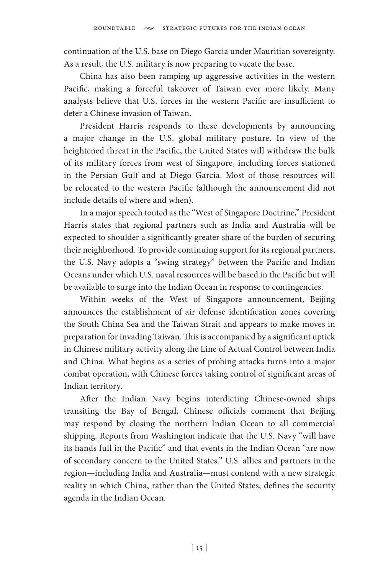continuation of the U.S. base on Diego Garcia under Mauritian sovereignty. As a result, the U.S. military is now preparing to vacate the base.

China has also been ramping up aggressive activities in the western Pacific, making a forceful takeover of Taiwan ever more likely. Many analysts believe that U.S. forces in the western Pacific are insufficient to deter a Chinese invasion of Taiwan.

President Harris responds to these developments by announcing a major change in the U.S. global military posture. In view of the heightened threat in the Pacific, the United States will withdraw the bulk of its military forces from west of Singapore, including forces stationed in the Persian Gulf and at Diego Garcia. Most of those resources will be relocated to the western Pacific (although the announcement did not include details of where and when).

In a major speech touted as the "West of Singapore Doctrine," President Harris states that regional partners such as India and Australia will be expected to shoulder a significantly greater share of the burden of securing their neighborhood. To provide continuing support for its regional partners, the U.S. Navy adopts a "swing strategy" between the Pacific and Indian Oceans under which U.S. naval resources will be based in the Pacific but will be available to surge into the Indian Ocean in response to contingencies.

Within weeks of the West of Singapore announcement, Beijing announces the establishment of air defense identification zones covering the South China Sea and the Taiwan Strait and appears to make moves in preparation for invading Taiwan. This is accompanied by a significant uptick in Chinese military activity along the Line of Actual Control between India and China. What begins as a series of probing attacks turns into a major combat operation, with Chinese forces taking control of significant areas of Indian territory.

After the Indian Navy begins interdicting Chinese-owned ships transiting the Bay of Bengal, Chinese officials comment that Beijing may respond by closing the northern Indian Ocean to all commercial shipping. Reports from Washington indicate that the U.S. Navy "will have its hands full in the Pacific" and that events in the Indian Ocean "are now of secondary concern to the United States." U.S. allies and partners in the region—including India and Australia—must contend with a new strategic reality in which China, rather than the United States, defines the security agenda in the Indian Ocean.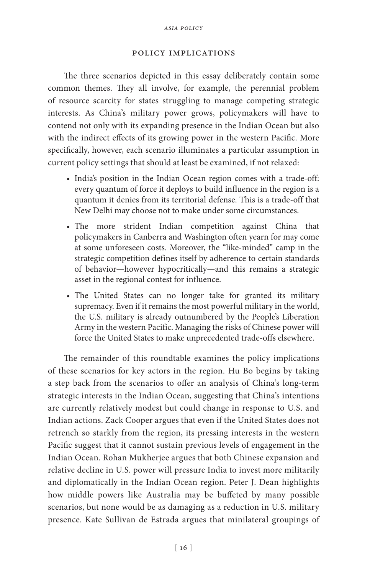#### policy implications

The three scenarios depicted in this essay deliberately contain some common themes. They all involve, for example, the perennial problem of resource scarcity for states struggling to manage competing strategic interests. As China's military power grows, policymakers will have to contend not only with its expanding presence in the Indian Ocean but also with the indirect effects of its growing power in the western Pacific. More specifically, however, each scenario illuminates a particular assumption in current policy settings that should at least be examined, if not relaxed:

- India's position in the Indian Ocean region comes with a trade-off: every quantum of force it deploys to build influence in the region is a quantum it denies from its territorial defense. This is a trade-off that New Delhi may choose not to make under some circumstances.
- The more strident Indian competition against China that policymakers in Canberra and Washington often yearn for may come at some unforeseen costs. Moreover, the "like-minded" camp in the strategic competition defines itself by adherence to certain standards of behavior—however hypocritically—and this remains a strategic asset in the regional contest for influence.
- The United States can no longer take for granted its military supremacy. Even if it remains the most powerful military in the world, the U.S. military is already outnumbered by the People's Liberation Army in the western Pacific. Managing the risks of Chinese power will force the United States to make unprecedented trade-offs elsewhere.

The remainder of this roundtable examines the policy implications of these scenarios for key actors in the region. Hu Bo begins by taking a step back from the scenarios to offer an analysis of China's long-term strategic interests in the Indian Ocean, suggesting that China's intentions are currently relatively modest but could change in response to U.S. and Indian actions. Zack Cooper argues that even if the United States does not retrench so starkly from the region, its pressing interests in the western Pacific suggest that it cannot sustain previous levels of engagement in the Indian Ocean. Rohan Mukherjee argues that both Chinese expansion and relative decline in U.S. power will pressure India to invest more militarily and diplomatically in the Indian Ocean region. Peter J. Dean highlights how middle powers like Australia may be buffeted by many possible scenarios, but none would be as damaging as a reduction in U.S. military presence. Kate Sullivan de Estrada argues that minilateral groupings of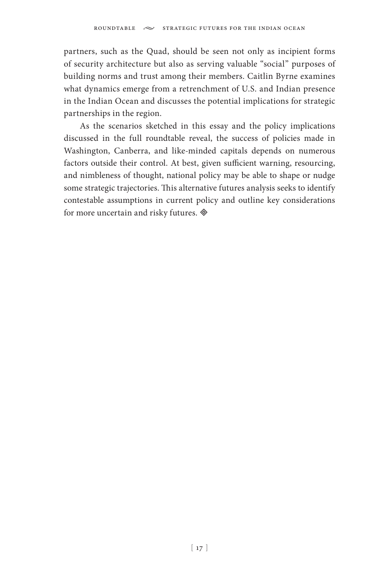partners, such as the Quad, should be seen not only as incipient forms of security architecture but also as serving valuable "social" purposes of building norms and trust among their members. Caitlin Byrne examines what dynamics emerge from a retrenchment of U.S. and Indian presence in the Indian Ocean and discusses the potential implications for strategic partnerships in the region.

As the scenarios sketched in this essay and the policy implications discussed in the full roundtable reveal, the success of policies made in Washington, Canberra, and like-minded capitals depends on numerous factors outside their control. At best, given sufficient warning, resourcing, and nimbleness of thought, national policy may be able to shape or nudge some strategic trajectories. This alternative futures analysis seeks to identify contestable assumptions in current policy and outline key considerations for more uncertain and risky futures.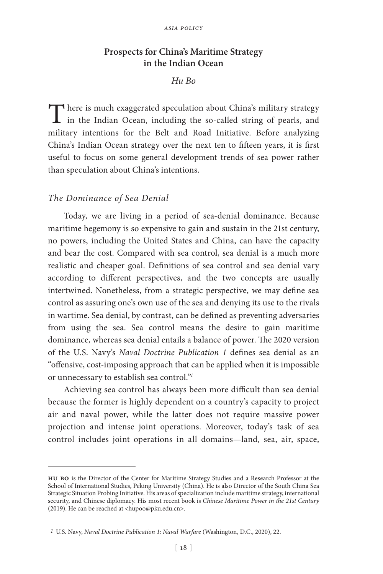### **Prospects for China's Maritime Strategy in the Indian Ocean**

### *Hu Bo*

There is much exaggerated speculation about China's military strategy in the Indian Ocean, including the so-called string of pearls, and military intentions for the Belt and Road Initiative. Before analyzing China's Indian Ocean strategy over the next ten to fifteen years, it is first useful to focus on some general development trends of sea power rather than speculation about China's intentions.

#### *The Dominance of Sea Denial*

Today, we are living in a period of sea-denial dominance. Because maritime hegemony is so expensive to gain and sustain in the 21st century, no powers, including the United States and China, can have the capacity and bear the cost. Compared with sea control, sea denial is a much more realistic and cheaper goal. Definitions of sea control and sea denial vary according to different perspectives, and the two concepts are usually intertwined. Nonetheless, from a strategic perspective, we may define sea control as assuring one's own use of the sea and denying its use to the rivals in wartime. Sea denial, by contrast, can be defined as preventing adversaries from using the sea. Sea control means the desire to gain maritime dominance, whereas sea denial entails a balance of power. The 2020 version of the U.S. Navy's *Naval Doctrine Publication 1* defines sea denial as an "offensive, cost-imposing approach that can be applied when it is impossible or unnecessary to establish sea control."*<sup>1</sup>*

Achieving sea control has always been more difficult than sea denial because the former is highly dependent on a country's capacity to project air and naval power, while the latter does not require massive power projection and intense joint operations. Moreover, today's task of sea control includes joint operations in all domains—land, sea, air, space,

**hu bo** is the Director of the Center for Maritime Strategy Studies and a Research Professor at the School of International Studies, Peking University (China). He is also Director of the South China Sea Strategic Situation Probing Initiative. His areas of specialization include maritime strategy, international security, and Chinese diplomacy. His most recent book is *Chinese Maritime Power in the 21st Century* (2019). He can be reached at <hupoo@pku.edu.cn>.

*<sup>1</sup>* U.S. Navy, *Naval Doctrine Publication 1: Naval Warfare* (Washington, D.C., 2020), 22.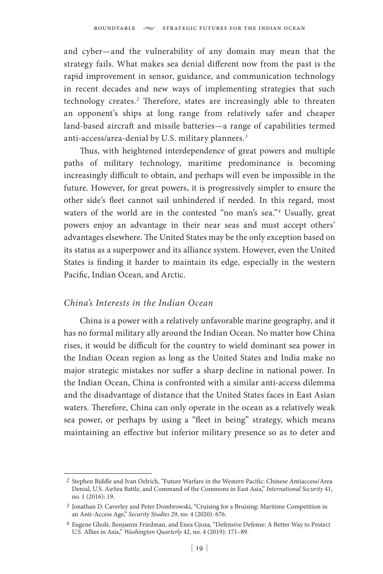and cyber—and the vulnerability of any domain may mean that the strategy fails. What makes sea denial different now from the past is the rapid improvement in sensor, guidance, and communication technology in recent decades and new ways of implementing strategies that such technology creates.*<sup>2</sup>* Therefore, states are increasingly able to threaten an opponent's ships at long range from relatively safer and cheaper land-based aircraft and missile batteries—a range of capabilities termed anti-access/area-denial by U.S. military planners.*<sup>3</sup>*

Thus, with heightened interdependence of great powers and multiple paths of military technology, maritime predominance is becoming increasingly difficult to obtain, and perhaps will even be impossible in the future. However, for great powers, it is progressively simpler to ensure the other side's fleet cannot sail unhindered if needed. In this regard, most waters of the world are in the contested "no man's sea."*<sup>4</sup>* Usually, great powers enjoy an advantage in their near seas and must accept others' advantages elsewhere. The United States may be the only exception based on its status as a superpower and its alliance system. However, even the United States is finding it harder to maintain its edge, especially in the western Pacific, Indian Ocean, and Arctic.

### *China's Interests in the Indian Ocean*

China is a power with a relatively unfavorable marine geography, and it has no formal military ally around the Indian Ocean. No matter how China rises, it would be difficult for the country to wield dominant sea power in the Indian Ocean region as long as the United States and India make no major strategic mistakes nor suffer a sharp decline in national power. In the Indian Ocean, China is confronted with a similar anti-access dilemma and the disadvantage of distance that the United States faces in East Asian waters. Therefore, China can only operate in the ocean as a relatively weak sea power, or perhaps by using a "fleet in being" strategy, which means maintaining an effective but inferior military presence so as to deter and

*<sup>2</sup>* Stephen Biddle and Ivan Oelrich, "Future Warfare in the Western Pacific: Chinese Antiaccess/Area Denial, U.S. AirSea Battle, and Command of the Commons in East Asia," *International Security* 41, no. 1 (2016): 19.

*<sup>3</sup>* Jonathan D. Caverley and Peter Dombrowski, "Cruising for a Bruising: Maritime Competition in an Anti-Access Age," *Security Studies* 29, no. 4 (2020): 676.

*<sup>4</sup>* Eugene Gholz, Benjamin Friedman, and Enea Gjoza, "Defensive Defense: A Better Way to Protect U.S. Allies in Asia," *Washington Quarterly* 42, no. 4 (2019): 171–89.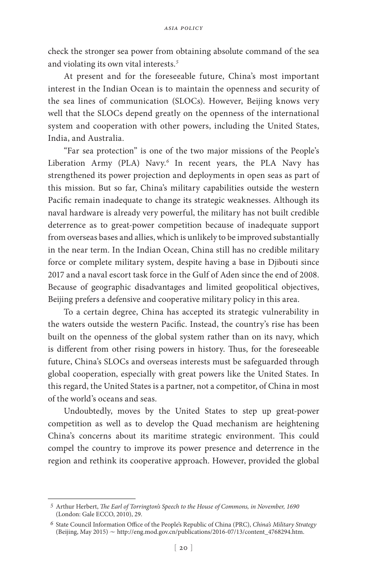check the stronger sea power from obtaining absolute command of the sea and violating its own vital interests.*<sup>5</sup>*

At present and for the foreseeable future, China's most important interest in the Indian Ocean is to maintain the openness and security of the sea lines of communication (SLOCs). However, Beijing knows very well that the SLOCs depend greatly on the openness of the international system and cooperation with other powers, including the United States, India, and Australia.

"Far sea protection" is one of the two major missions of the People's Liberation Army (PLA) Navy.*<sup>6</sup>* In recent years, the PLA Navy has strengthened its power projection and deployments in open seas as part of this mission. But so far, China's military capabilities outside the western Pacific remain inadequate to change its strategic weaknesses. Although its naval hardware is already very powerful, the military has not built credible deterrence as to great-power competition because of inadequate support from overseas bases and allies, which is unlikely to be improved substantially in the near term. In the Indian Ocean, China still has no credible military force or complete military system, despite having a base in Djibouti since 2017 and a naval escort task force in the Gulf of Aden since the end of 2008. Because of geographic disadvantages and limited geopolitical objectives, Beijing prefers a defensive and cooperative military policy in this area.

To a certain degree, China has accepted its strategic vulnerability in the waters outside the western Pacific. Instead, the country's rise has been built on the openness of the global system rather than on its navy, which is different from other rising powers in history. Thus, for the foreseeable future, China's SLOCs and overseas interests must be safeguarded through global cooperation, especially with great powers like the United States. In this regard, the United States is a partner, not a competitor, of China in most of the world's oceans and seas.

Undoubtedly, moves by the United States to step up great-power competition as well as to develop the Quad mechanism are heightening China's concerns about its maritime strategic environment. This could compel the country to improve its power presence and deterrence in the region and rethink its cooperative approach. However, provided the global

*<sup>5</sup>* Arthur Herbert, *The Earl of Torrington's Speech to the House of Commons, in November, 1690* (London: Gale ECCO, 2010), 29.

*<sup>6</sup>* State Council Information Office of the People's Republic of China (PRC), *China's Military Strategy*  (Beijing, May 2015)  $\sim$  http://eng.mod.gov.cn/publications/2016-07/13/content\_4768294.htm.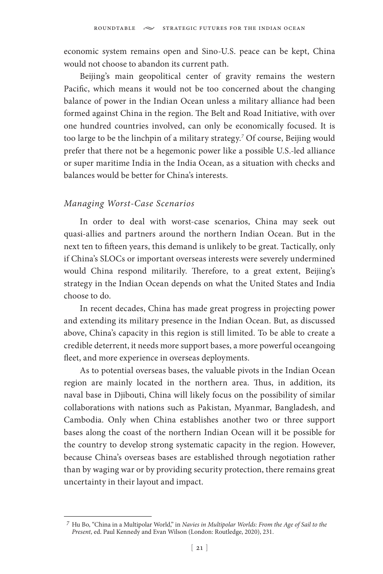economic system remains open and Sino-U.S. peace can be kept, China would not choose to abandon its current path.

Beijing's main geopolitical center of gravity remains the western Pacific, which means it would not be too concerned about the changing balance of power in the Indian Ocean unless a military alliance had been formed against China in the region. The Belt and Road Initiative, with over one hundred countries involved, can only be economically focused. It is too large to be the linchpin of a military strategy.*<sup>7</sup>* Of course, Beijing would prefer that there not be a hegemonic power like a possible U.S.-led alliance or super maritime India in the India Ocean, as a situation with checks and balances would be better for China's interests.

### *Managing Worst-Case Scenarios*

In order to deal with worst-case scenarios, China may seek out quasi-allies and partners around the northern Indian Ocean. But in the next ten to fifteen years, this demand is unlikely to be great. Tactically, only if China's SLOCs or important overseas interests were severely undermined would China respond militarily. Therefore, to a great extent, Beijing's strategy in the Indian Ocean depends on what the United States and India choose to do.

In recent decades, China has made great progress in projecting power and extending its military presence in the Indian Ocean. But, as discussed above, China's capacity in this region is still limited. To be able to create a credible deterrent, it needs more support bases, a more powerful oceangoing fleet, and more experience in overseas deployments.

As to potential overseas bases, the valuable pivots in the Indian Ocean region are mainly located in the northern area. Thus, in addition, its naval base in Djibouti, China will likely focus on the possibility of similar collaborations with nations such as Pakistan, Myanmar, Bangladesh, and Cambodia. Only when China establishes another two or three support bases along the coast of the northern Indian Ocean will it be possible for the country to develop strong systematic capacity in the region. However, because China's overseas bases are established through negotiation rather than by waging war or by providing security protection, there remains great uncertainty in their layout and impact.

*<sup>7</sup>* Hu Bo, "China in a Multipolar World," in *Navies in Multipolar Worlds: From the Age of Sail to the Present*, ed. Paul Kennedy and Evan Wilson (London: Routledge, 2020), 231.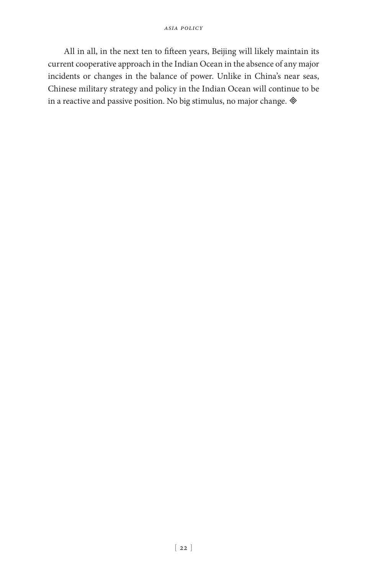All in all, in the next ten to fifteen years, Beijing will likely maintain its current cooperative approach in the Indian Ocean in the absence of any major incidents or changes in the balance of power. Unlike in China's near seas, Chinese military strategy and policy in the Indian Ocean will continue to be in a reactive and passive position. No big stimulus, no major change.  $\otimes$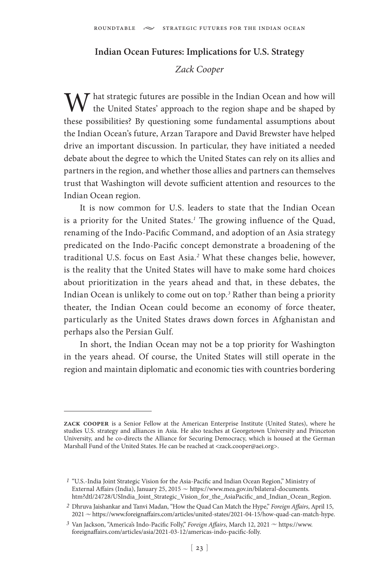### **Indian Ocean Futures: Implications for U.S. Strategy**

### *Zack Cooper*

 $\boldsymbol{M}$  hat strategic futures are possible in the Indian Ocean and how will the United States' approach to the region shape and be shaped by these possibilities? By questioning some fundamental assumptions about the Indian Ocean's future, Arzan Tarapore and David Brewster have helped drive an important discussion. In particular, they have initiated a needed debate about the degree to which the United States can rely on its allies and partners in the region, and whether those allies and partners can themselves trust that Washington will devote sufficient attention and resources to the Indian Ocean region.

It is now common for U.S. leaders to state that the Indian Ocean is a priority for the United States.*<sup>1</sup>* The growing influence of the Quad, renaming of the Indo-Pacific Command, and adoption of an Asia strategy predicated on the Indo-Pacific concept demonstrate a broadening of the traditional U.S. focus on East Asia.*<sup>2</sup>* What these changes belie, however, is the reality that the United States will have to make some hard choices about prioritization in the years ahead and that, in these debates, the Indian Ocean is unlikely to come out on top.*<sup>3</sup>* Rather than being a priority theater, the Indian Ocean could become an economy of force theater, particularly as the United States draws down forces in Afghanistan and perhaps also the Persian Gulf.

In short, the Indian Ocean may not be a top priority for Washington in the years ahead. Of course, the United States will still operate in the region and maintain diplomatic and economic ties with countries bordering

**zack cooper** is a Senior Fellow at the American Enterprise Institute (United States), where he studies U.S. strategy and alliances in Asia. He also teaches at Georgetown University and Princeton University, and he co-directs the Alliance for Securing Democracy, which is housed at the German Marshall Fund of the United States. He can be reached at <zack.cooper@aei.org>.

*<sup>1</sup>* "U.S.-India Joint Strategic Vision for the Asia-Pacific and Indian Ocean Region," Ministry of External Affairs (India), January 25, 2015 ~ https://www.mea.gov.in/bilateral-documents. htm?dtl/24728/USIndia\_Joint\_Strategic\_Vision\_for\_the\_AsiaPacific\_and\_Indian\_Ocean\_Region.

*<sup>2</sup>* Dhruva Jaishankar and Tanvi Madan, "How the Quad Can Match the Hype," *Foreign Affairs*, April 15, 2021  $\sim$  https://www.foreignaffairs.com/articles/united-states/2021-04-15/how-quad-can-match-hype.

<sup>&</sup>lt;sup>3</sup> Van Jackson, "America's Indo-Pacific Folly," *Foreign Affairs*, March 12, 2021  $\sim$  https://www. foreignaffairs.com/articles/asia/2021-03-12/americas-indo-pacific-folly.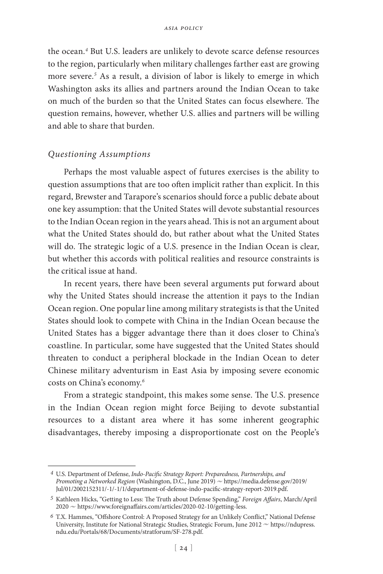the ocean.*<sup>4</sup>* But U.S. leaders are unlikely to devote scarce defense resources to the region, particularly when military challenges farther east are growing more severe.*<sup>5</sup>* As a result, a division of labor is likely to emerge in which Washington asks its allies and partners around the Indian Ocean to take on much of the burden so that the United States can focus elsewhere. The question remains, however, whether U.S. allies and partners will be willing and able to share that burden.

### *Questioning Assumptions*

Perhaps the most valuable aspect of futures exercises is the ability to question assumptions that are too often implicit rather than explicit. In this regard, Brewster and Tarapore's scenarios should force a public debate about one key assumption: that the United States will devote substantial resources to the Indian Ocean region in the years ahead. This is not an argument about what the United States should do, but rather about what the United States will do. The strategic logic of a U.S. presence in the Indian Ocean is clear, but whether this accords with political realities and resource constraints is the critical issue at hand.

In recent years, there have been several arguments put forward about why the United States should increase the attention it pays to the Indian Ocean region. One popular line among military strategists is that the United States should look to compete with China in the Indian Ocean because the United States has a bigger advantage there than it does closer to China's coastline. In particular, some have suggested that the United States should threaten to conduct a peripheral blockade in the Indian Ocean to deter Chinese military adventurism in East Asia by imposing severe economic costs on China's economy.*<sup>6</sup>*

From a strategic standpoint, this makes some sense. The U.S. presence in the Indian Ocean region might force Beijing to devote substantial resources to a distant area where it has some inherent geographic disadvantages, thereby imposing a disproportionate cost on the People's

*<sup>4</sup>* U.S. Department of Defense, *Indo-Pacific Strategy Report: Preparedness, Partnerships, and Promoting a Networked Region* (Washington, D.C., June 2019)  $\sim$  https://media.defense.gov/2019/ Jul/01/2002152311/-1/-1/1/department-of-defense-indo-pacific-strategy-report-2019.pdf.

*<sup>5</sup>* Kathleen Hicks, "Getting to Less: The Truth about Defense Spending," *Foreign Affairs*, March/April 2020 ~ https://www.foreignaffairs.com/articles/2020-02-10/getting-less.

*<sup>6</sup>* T.X. Hammes, "Offshore Control: A Proposed Strategy for an Unlikely Conflict," National Defense University, Institute for National Strategic Studies, Strategic Forum, June 2012  $\sim$  https://ndupress. ndu.edu/Portals/68/Documents/stratforum/SF-278.pdf.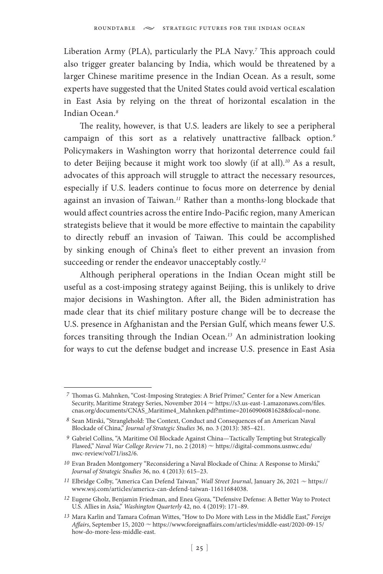Liberation Army (PLA), particularly the PLA Navy.*<sup>7</sup>* This approach could also trigger greater balancing by India, which would be threatened by a larger Chinese maritime presence in the Indian Ocean. As a result, some experts have suggested that the United States could avoid vertical escalation in East Asia by relying on the threat of horizontal escalation in the Indian Ocean.*<sup>8</sup>*

The reality, however, is that U.S. leaders are likely to see a peripheral campaign of this sort as a relatively unattractive fallback option.*<sup>9</sup>* Policymakers in Washington worry that horizontal deterrence could fail to deter Beijing because it might work too slowly (if at all).*<sup>10</sup>* As a result, advocates of this approach will struggle to attract the necessary resources, especially if U.S. leaders continue to focus more on deterrence by denial against an invasion of Taiwan.*<sup>11</sup>* Rather than a months-long blockade that would affect countries across the entire Indo-Pacific region, many American strategists believe that it would be more effective to maintain the capability to directly rebuff an invasion of Taiwan. This could be accomplished by sinking enough of China's fleet to either prevent an invasion from succeeding or render the endeavor unacceptably costly.*<sup>12</sup>*

Although peripheral operations in the Indian Ocean might still be useful as a cost-imposing strategy against Beijing, this is unlikely to drive major decisions in Washington. After all, the Biden administration has made clear that its chief military posture change will be to decrease the U.S. presence in Afghanistan and the Persian Gulf, which means fewer U.S. forces transiting through the Indian Ocean.*<sup>13</sup>* An administration looking for ways to cut the defense budget and increase U.S. presence in East Asia

*<sup>7</sup>* Thomas G. Mahnken, "Cost-Imposing Strategies: A Brief Primer," Center for a New American Security, Maritime Strategy Series, November 2014 ~ https://s3.us-east-1.amazonaws.com/files. cnas.org/documents/CNAS\_Maritime4\_Mahnken.pdf?mtime=20160906081628&focal=none.

*<sup>8</sup>* Sean Mirski, "Stranglehold: The Context, Conduct and Consequences of an American Naval Blockade of China," *Journal of Strategic Studies* 36, no. 3 (2013): 385–421.

*<sup>9</sup>* Gabriel Collins, "A Maritime Oil Blockade Against China—Tactically Tempting but Strategically Flawed," *Naval War College Review 71*, no. 2 (2018)  $\sim$  https://digital-commons.usnwc.edu/ nwc-review/vol71/iss2/6.

*<sup>10</sup>* Evan Braden Montgomery "Reconsidering a Naval Blockade of China: A Response to Mirski," *Journal of Strategic Studies* 36, no. 4 (2013): 615–23.

*<sup>11</sup>* Elbridge Colby, "America Can Defend Taiwan," *Wall Street Journal*, January 26, 2021  $\sim$  https:// www.wsj.com/articles/america-can-defend-taiwan-11611684038.

*<sup>12</sup>* Eugene Gholz, Benjamin Friedman, and Enea Gjoza, "Defensive Defense: A Better Way to Protect U.S. Allies in Asia," *Washington Quarterly* 42, no. 4 (2019): 171–89.

*<sup>13</sup>* Mara Karlin and Tamara Cofman Wittes, "How to Do More with Less in the Middle East," *Foreign*  Affairs, September 15, 2020  $\sim$  https://www.foreignaffairs.com/articles/middle-east/2020-09-15/ how-do-more-less-middle-east.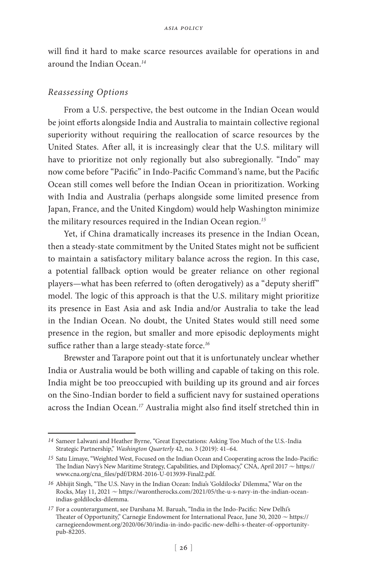will find it hard to make scarce resources available for operations in and around the Indian Ocean.*<sup>14</sup>*

#### *Reassessing Options*

From a U.S. perspective, the best outcome in the Indian Ocean would be joint efforts alongside India and Australia to maintain collective regional superiority without requiring the reallocation of scarce resources by the United States. After all, it is increasingly clear that the U.S. military will have to prioritize not only regionally but also subregionally. "Indo" may now come before "Pacific" in Indo-Pacific Command's name, but the Pacific Ocean still comes well before the Indian Ocean in prioritization. Working with India and Australia (perhaps alongside some limited presence from Japan, France, and the United Kingdom) would help Washington minimize the military resources required in the Indian Ocean region.*<sup>15</sup>*

Yet, if China dramatically increases its presence in the Indian Ocean, then a steady-state commitment by the United States might not be sufficient to maintain a satisfactory military balance across the region. In this case, a potential fallback option would be greater reliance on other regional players—what has been referred to (often derogatively) as a "deputy sheriff" model. The logic of this approach is that the U.S. military might prioritize its presence in East Asia and ask India and/or Australia to take the lead in the Indian Ocean. No doubt, the United States would still need some presence in the region, but smaller and more episodic deployments might suffice rather than a large steady-state force.*<sup>16</sup>*

Brewster and Tarapore point out that it is unfortunately unclear whether India or Australia would be both willing and capable of taking on this role. India might be too preoccupied with building up its ground and air forces on the Sino-Indian border to field a sufficient navy for sustained operations across the Indian Ocean.*<sup>17</sup>* Australia might also find itself stretched thin in

*<sup>14</sup>* Sameer Lalwani and Heather Byrne, "Great Expectations: Asking Too Much of the U.S.-India Strategic Partnership," *Washington Quarterly* 42, no. 3 (2019): 41–64.

*<sup>15</sup>* Satu Limaye, "Weighted West, Focused on the Indian Ocean and Cooperating across the Indo-Pacific: The Indian Navy's New Maritime Strategy, Capabilities, and Diplomacy," CNA, April 2017  $\sim$  https:// www.cna.org/cna\_files/pdf/DRM-2016-U-013939-Final2.pdf.

*<sup>16</sup>* Abhijit Singh, "The U.S. Navy in the Indian Ocean: India's 'Goldilocks' Dilemma," War on the Rocks, May  $11$ , 2021  $\sim$  https://warontherocks.com/2021/05/the-u-s-navy-in-the-indian-oceanindias-goldilocks-dilemma.

*<sup>17</sup>* For a counterargument, see Darshana M. Baruah, "India in the Indo-Pacific: New Delhi's Theater of Opportunity," Carnegie Endowment for International Peace, June 30, 2020  $\sim$  https:// carnegieendowment.org/2020/06/30/india-in-indo-pacific-new-delhi-s-theater-of-opportunitypub-82205.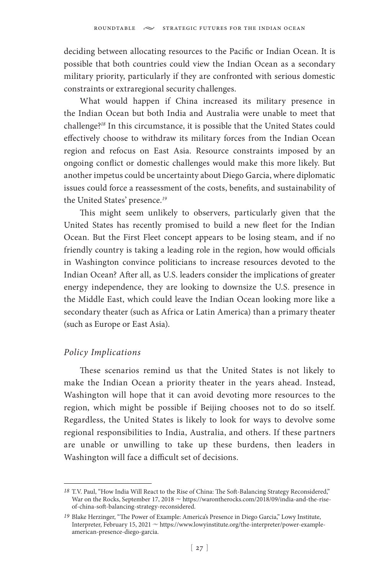deciding between allocating resources to the Pacific or Indian Ocean. It is possible that both countries could view the Indian Ocean as a secondary military priority, particularly if they are confronted with serious domestic constraints or extraregional security challenges.

What would happen if China increased its military presence in the Indian Ocean but both India and Australia were unable to meet that challenge?*<sup>18</sup>* In this circumstance, it is possible that the United States could effectively choose to withdraw its military forces from the Indian Ocean region and refocus on East Asia. Resource constraints imposed by an ongoing conflict or domestic challenges would make this more likely. But another impetus could be uncertainty about Diego Garcia, where diplomatic issues could force a reassessment of the costs, benefits, and sustainability of the United States' presence.*<sup>19</sup>*

This might seem unlikely to observers, particularly given that the United States has recently promised to build a new fleet for the Indian Ocean. But the First Fleet concept appears to be losing steam, and if no friendly country is taking a leading role in the region, how would officials in Washington convince politicians to increase resources devoted to the Indian Ocean? After all, as U.S. leaders consider the implications of greater energy independence, they are looking to downsize the U.S. presence in the Middle East, which could leave the Indian Ocean looking more like a secondary theater (such as Africa or Latin America) than a primary theater (such as Europe or East Asia).

### *Policy Implications*

These scenarios remind us that the United States is not likely to make the Indian Ocean a priority theater in the years ahead. Instead, Washington will hope that it can avoid devoting more resources to the region, which might be possible if Beijing chooses not to do so itself. Regardless, the United States is likely to look for ways to devolve some regional responsibilities to India, Australia, and others. If these partners are unable or unwilling to take up these burdens, then leaders in Washington will face a difficult set of decisions.

*<sup>18</sup>* T.V. Paul, "How India Will React to the Rise of China: The Soft-Balancing Strategy Reconsidered," War on the Rocks, September 17, 2018  $\sim$  https://warontherocks.com/2018/09/india-and-the-riseof-china-soft-balancing-strategy-reconsidered.

*<sup>19</sup>* Blake Herzinger, "The Power of Example: America's Presence in Diego Garcia," Lowy Institute, Interpreter, February 15, 2021  $\sim$  https://www.lowyinstitute.org/the-interpreter/power-exampleamerican-presence-diego-garcia.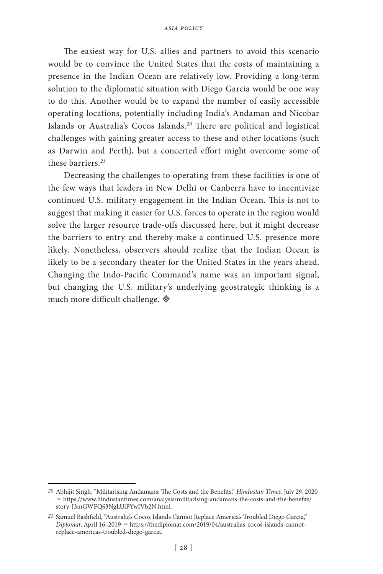The easiest way for U.S. allies and partners to avoid this scenario would be to convince the United States that the costs of maintaining a presence in the Indian Ocean are relatively low. Providing a long-term solution to the diplomatic situation with Diego Garcia would be one way to do this. Another would be to expand the number of easily accessible operating locations, potentially including India's Andaman and Nicobar Islands or Australia's Cocos Islands.*<sup>20</sup>* There are political and logistical challenges with gaining greater access to these and other locations (such as Darwin and Perth), but a concerted effort might overcome some of these barriers.*<sup>21</sup>*

Decreasing the challenges to operating from these facilities is one of the few ways that leaders in New Delhi or Canberra have to incentivize continued U.S. military engagement in the Indian Ocean. This is not to suggest that making it easier for U.S. forces to operate in the region would solve the larger resource trade-offs discussed here, but it might decrease the barriers to entry and thereby make a continued U.S. presence more likely. Nonetheless, observers should realize that the Indian Ocean is likely to be a secondary theater for the United States in the years ahead. Changing the Indo-Pacific Command's name was an important signal, but changing the U.S. military's underlying geostrategic thinking is a much more difficult challenge.

*<sup>20</sup>* Abhijit Singh, "Militarising Andamans: The Costs and the Benefits," *Hindustan Times*, July 29, 2020  $\sim$  https://www.hindustantimes.com/analysis/militarising-andamans-the-costs-and-the-benefits/ story-J3mGWFQS3NgLUiPYwIVb2N.html.

*<sup>21</sup>* Samuel Bashfield, "Australia's Cocos Islands Cannot Replace America's Troubled Diego Garcia," *Diplomat*, April 16, 2019  $\sim$  https://thediplomat.com/2019/04/australias-cocos-islands-cannotreplace-americas-troubled-diego-garcia.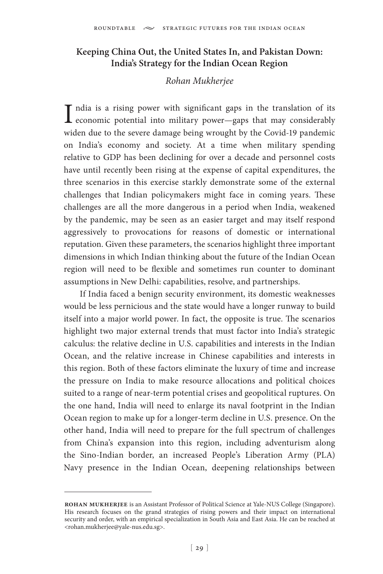## **Keeping China Out, the United States In, and Pakistan Down: India's Strategy for the Indian Ocean Region**

### *Rohan Mukherjee*

I ndia is a rising power with significant gaps in the translation of its economic potential into military power—gaps that may considerably ndia is a rising power with significant gaps in the translation of its widen due to the severe damage being wrought by the Covid-19 pandemic on India's economy and society. At a time when military spending relative to GDP has been declining for over a decade and personnel costs have until recently been rising at the expense of capital expenditures, the three scenarios in this exercise starkly demonstrate some of the external challenges that Indian policymakers might face in coming years. These challenges are all the more dangerous in a period when India, weakened by the pandemic, may be seen as an easier target and may itself respond aggressively to provocations for reasons of domestic or international reputation. Given these parameters, the scenarios highlight three important dimensions in which Indian thinking about the future of the Indian Ocean region will need to be flexible and sometimes run counter to dominant assumptions in New Delhi: capabilities, resolve, and partnerships.

If India faced a benign security environment, its domestic weaknesses would be less pernicious and the state would have a longer runway to build itself into a major world power. In fact, the opposite is true. The scenarios highlight two major external trends that must factor into India's strategic calculus: the relative decline in U.S. capabilities and interests in the Indian Ocean, and the relative increase in Chinese capabilities and interests in this region. Both of these factors eliminate the luxury of time and increase the pressure on India to make resource allocations and political choices suited to a range of near-term potential crises and geopolitical ruptures. On the one hand, India will need to enlarge its naval footprint in the Indian Ocean region to make up for a longer-term decline in U.S. presence. On the other hand, India will need to prepare for the full spectrum of challenges from China's expansion into this region, including adventurism along the Sino-Indian border, an increased People's Liberation Army (PLA) Navy presence in the Indian Ocean, deepening relationships between

**rohan mukherjee** is an Assistant Professor of Political Science at Yale-NUS College (Singapore). His research focuses on the grand strategies of rising powers and their impact on international security and order, with an empirical specialization in South Asia and East Asia. He can be reached at <rohan.mukherjee@yale-nus.edu.sg>.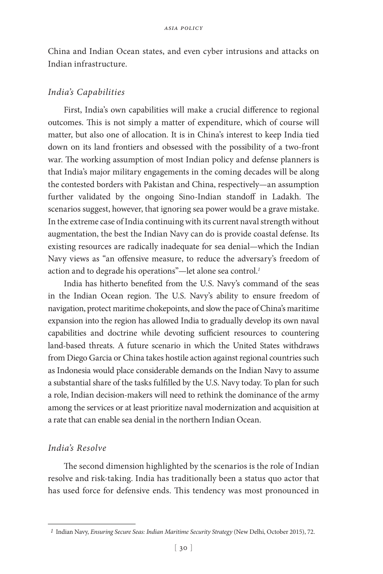China and Indian Ocean states, and even cyber intrusions and attacks on Indian infrastructure.

#### *India's Capabilities*

First, India's own capabilities will make a crucial difference to regional outcomes. This is not simply a matter of expenditure, which of course will matter, but also one of allocation. It is in China's interest to keep India tied down on its land frontiers and obsessed with the possibility of a two-front war. The working assumption of most Indian policy and defense planners is that India's major military engagements in the coming decades will be along the contested borders with Pakistan and China, respectively—an assumption further validated by the ongoing Sino-Indian standoff in Ladakh. The scenarios suggest, however, that ignoring sea power would be a grave mistake. In the extreme case of India continuing with its current naval strength without augmentation, the best the Indian Navy can do is provide coastal defense. Its existing resources are radically inadequate for sea denial—which the Indian Navy views as "an offensive measure, to reduce the adversary's freedom of action and to degrade his operations"—let alone sea control.*<sup>1</sup>*

India has hitherto benefited from the U.S. Navy's command of the seas in the Indian Ocean region. The U.S. Navy's ability to ensure freedom of navigation, protect maritime chokepoints, and slow the pace of China's maritime expansion into the region has allowed India to gradually develop its own naval capabilities and doctrine while devoting sufficient resources to countering land-based threats. A future scenario in which the United States withdraws from Diego Garcia or China takes hostile action against regional countries such as Indonesia would place considerable demands on the Indian Navy to assume a substantial share of the tasks fulfilled by the U.S. Navy today. To plan for such a role, Indian decision-makers will need to rethink the dominance of the army among the services or at least prioritize naval modernization and acquisition at a rate that can enable sea denial in the northern Indian Ocean.

### *India's Resolve*

The second dimension highlighted by the scenarios is the role of Indian resolve and risk-taking. India has traditionally been a status quo actor that has used force for defensive ends. This tendency was most pronounced in

*<sup>1</sup>* Indian Navy, *Ensuring Secure Seas: Indian Maritime Security Strategy* (New Delhi, October 2015), 72.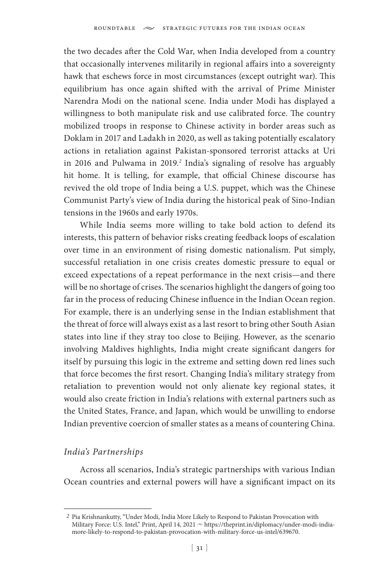the two decades after the Cold War, when India developed from a country that occasionally intervenes militarily in regional affairs into a sovereignty hawk that eschews force in most circumstances (except outright war). This equilibrium has once again shifted with the arrival of Prime Minister Narendra Modi on the national scene. India under Modi has displayed a willingness to both manipulate risk and use calibrated force. The country mobilized troops in response to Chinese activity in border areas such as Doklam in 2017 and Ladakh in 2020, as well as taking potentially escalatory actions in retaliation against Pakistan-sponsored terrorist attacks at Uri in 2016 and Pulwama in 2019.*<sup>2</sup>* India's signaling of resolve has arguably hit home. It is telling, for example, that official Chinese discourse has revived the old trope of India being a U.S. puppet, which was the Chinese Communist Party's view of India during the historical peak of Sino-Indian tensions in the 1960s and early 1970s.

While India seems more willing to take bold action to defend its interests, this pattern of behavior risks creating feedback loops of escalation over time in an environment of rising domestic nationalism. Put simply, successful retaliation in one crisis creates domestic pressure to equal or exceed expectations of a repeat performance in the next crisis—and there will be no shortage of crises. The scenarios highlight the dangers of going too far in the process of reducing Chinese influence in the Indian Ocean region. For example, there is an underlying sense in the Indian establishment that the threat of force will always exist as a last resort to bring other South Asian states into line if they stray too close to Beijing. However, as the scenario involving Maldives highlights, India might create significant dangers for itself by pursuing this logic in the extreme and setting down red lines such that force becomes the first resort. Changing India's military strategy from retaliation to prevention would not only alienate key regional states, it would also create friction in India's relations with external partners such as the United States, France, and Japan, which would be unwilling to endorse Indian preventive coercion of smaller states as a means of countering China.

## *India's Partnerships*

Across all scenarios, India's strategic partnerships with various Indian Ocean countries and external powers will have a significant impact on its

*<sup>2</sup>* Pia Krishnankutty, "Under Modi, India More Likely to Respond to Pakistan Provocation with Military Force: U.S. Intel," Print, April 14, 2021  $\sim$  https://theprint.in/diplomacy/under-modi-indiamore-likely-to-respond-to-pakistan-provocation-with-military-force-us-intel/639670.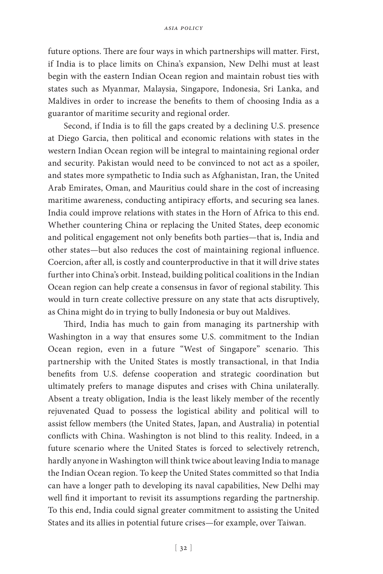future options. There are four ways in which partnerships will matter. First, if India is to place limits on China's expansion, New Delhi must at least begin with the eastern Indian Ocean region and maintain robust ties with states such as Myanmar, Malaysia, Singapore, Indonesia, Sri Lanka, and Maldives in order to increase the benefits to them of choosing India as a guarantor of maritime security and regional order.

Second, if India is to fill the gaps created by a declining U.S. presence at Diego Garcia, then political and economic relations with states in the western Indian Ocean region will be integral to maintaining regional order and security. Pakistan would need to be convinced to not act as a spoiler, and states more sympathetic to India such as Afghanistan, Iran, the United Arab Emirates, Oman, and Mauritius could share in the cost of increasing maritime awareness, conducting antipiracy efforts, and securing sea lanes. India could improve relations with states in the Horn of Africa to this end. Whether countering China or replacing the United States, deep economic and political engagement not only benefits both parties—that is, India and other states—but also reduces the cost of maintaining regional influence. Coercion, after all, is costly and counterproductive in that it will drive states further into China's orbit. Instead, building political coalitions in the Indian Ocean region can help create a consensus in favor of regional stability. This would in turn create collective pressure on any state that acts disruptively, as China might do in trying to bully Indonesia or buy out Maldives.

Third, India has much to gain from managing its partnership with Washington in a way that ensures some U.S. commitment to the Indian Ocean region, even in a future "West of Singapore" scenario. This partnership with the United States is mostly transactional, in that India benefits from U.S. defense cooperation and strategic coordination but ultimately prefers to manage disputes and crises with China unilaterally. Absent a treaty obligation, India is the least likely member of the recently rejuvenated Quad to possess the logistical ability and political will to assist fellow members (the United States, Japan, and Australia) in potential conflicts with China. Washington is not blind to this reality. Indeed, in a future scenario where the United States is forced to selectively retrench, hardly anyone in Washington will think twice about leaving India to manage the Indian Ocean region. To keep the United States committed so that India can have a longer path to developing its naval capabilities, New Delhi may well find it important to revisit its assumptions regarding the partnership. To this end, India could signal greater commitment to assisting the United States and its allies in potential future crises—for example, over Taiwan.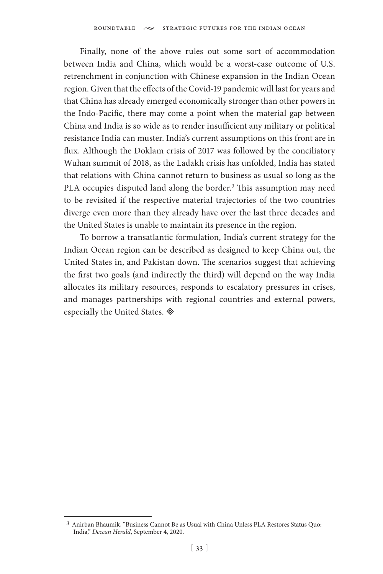Finally, none of the above rules out some sort of accommodation between India and China, which would be a worst-case outcome of U.S. retrenchment in conjunction with Chinese expansion in the Indian Ocean region. Given that the effects of the Covid-19 pandemic will last for years and that China has already emerged economically stronger than other powers in the Indo-Pacific, there may come a point when the material gap between China and India is so wide as to render insufficient any military or political resistance India can muster. India's current assumptions on this front are in flux. Although the Doklam crisis of 2017 was followed by the conciliatory Wuhan summit of 2018, as the Ladakh crisis has unfolded, India has stated that relations with China cannot return to business as usual so long as the PLA occupies disputed land along the border.*<sup>3</sup>* This assumption may need to be revisited if the respective material trajectories of the two countries diverge even more than they already have over the last three decades and the United States is unable to maintain its presence in the region.

To borrow a transatlantic formulation, India's current strategy for the Indian Ocean region can be described as designed to keep China out, the United States in, and Pakistan down. The scenarios suggest that achieving the first two goals (and indirectly the third) will depend on the way India allocates its military resources, responds to escalatory pressures in crises, and manages partnerships with regional countries and external powers, especially the United States.

*<sup>3</sup>* Anirban Bhaumik, "Business Cannot Be as Usual with China Unless PLA Restores Status Quo: India," *Deccan Herald*, September 4, 2020.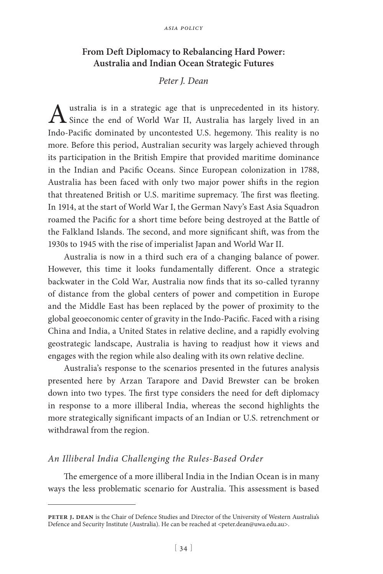## **From Deft Diplomacy to Rebalancing Hard Power: Australia and Indian Ocean Strategic Futures**

### *Peter J. Dean*

Australia is in a strategic age that is unprecedented in its history.<br>Since the end of World War II, Australia has largely lived in an Indo-Pacific dominated by uncontested U.S. hegemony. This reality is no more. Before this period, Australian security was largely achieved through its participation in the British Empire that provided maritime dominance in the Indian and Pacific Oceans. Since European colonization in 1788, Australia has been faced with only two major power shifts in the region that threatened British or U.S. maritime supremacy. The first was fleeting. In 1914, at the start of World War I, the German Navy's East Asia Squadron roamed the Pacific for a short time before being destroyed at the Battle of the Falkland Islands. The second, and more significant shift, was from the 1930s to 1945 with the rise of imperialist Japan and World War II.

Australia is now in a third such era of a changing balance of power. However, this time it looks fundamentally different. Once a strategic backwater in the Cold War, Australia now finds that its so-called tyranny of distance from the global centers of power and competition in Europe and the Middle East has been replaced by the power of proximity to the global geoeconomic center of gravity in the Indo-Pacific. Faced with a rising China and India, a United States in relative decline, and a rapidly evolving geostrategic landscape, Australia is having to readjust how it views and engages with the region while also dealing with its own relative decline.

Australia's response to the scenarios presented in the futures analysis presented here by Arzan Tarapore and David Brewster can be broken down into two types. The first type considers the need for deft diplomacy in response to a more illiberal India, whereas the second highlights the more strategically significant impacts of an Indian or U.S. retrenchment or withdrawal from the region.

### *An Illiberal India Challenging the Rules-Based Order*

The emergence of a more illiberal India in the Indian Ocean is in many ways the less problematic scenario for Australia. This assessment is based

PETER J. DEAN is the Chair of Defence Studies and Director of the University of Western Australia's Defence and Security Institute (Australia). He can be reached at <peter.dean@uwa.edu.au>.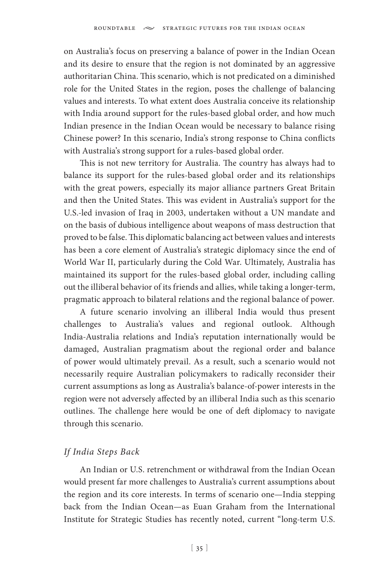on Australia's focus on preserving a balance of power in the Indian Ocean and its desire to ensure that the region is not dominated by an aggressive authoritarian China. This scenario, which is not predicated on a diminished role for the United States in the region, poses the challenge of balancing values and interests. To what extent does Australia conceive its relationship with India around support for the rules-based global order, and how much Indian presence in the Indian Ocean would be necessary to balance rising Chinese power? In this scenario, India's strong response to China conflicts with Australia's strong support for a rules-based global order.

This is not new territory for Australia. The country has always had to balance its support for the rules-based global order and its relationships with the great powers, especially its major alliance partners Great Britain and then the United States. This was evident in Australia's support for the U.S.-led invasion of Iraq in 2003, undertaken without a UN mandate and on the basis of dubious intelligence about weapons of mass destruction that proved to be false. This diplomatic balancing act between values and interests has been a core element of Australia's strategic diplomacy since the end of World War II, particularly during the Cold War. Ultimately, Australia has maintained its support for the rules-based global order, including calling out the illiberal behavior of its friends and allies, while taking a longer-term, pragmatic approach to bilateral relations and the regional balance of power.

A future scenario involving an illiberal India would thus present challenges to Australia's values and regional outlook. Although India-Australia relations and India's reputation internationally would be damaged, Australian pragmatism about the regional order and balance of power would ultimately prevail. As a result, such a scenario would not necessarily require Australian policymakers to radically reconsider their current assumptions as long as Australia's balance-of-power interests in the region were not adversely affected by an illiberal India such as this scenario outlines. The challenge here would be one of deft diplomacy to navigate through this scenario.

### *If India Steps Back*

An Indian or U.S. retrenchment or withdrawal from the Indian Ocean would present far more challenges to Australia's current assumptions about the region and its core interests. In terms of scenario one—India stepping back from the Indian Ocean—as Euan Graham from the International Institute for Strategic Studies has recently noted, current "long-term U.S.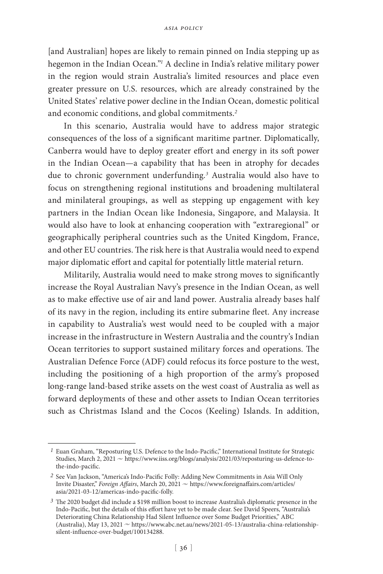[and Australian] hopes are likely to remain pinned on India stepping up as hegemon in the Indian Ocean."*<sup>1</sup>* A decline in India's relative military power in the region would strain Australia's limited resources and place even greater pressure on U.S. resources, which are already constrained by the United States' relative power decline in the Indian Ocean, domestic political and economic conditions, and global commitments.*<sup>2</sup>*

In this scenario, Australia would have to address major strategic consequences of the loss of a significant maritime partner. Diplomatically, Canberra would have to deploy greater effort and energy in its soft power in the Indian Ocean—a capability that has been in atrophy for decades due to chronic government underfunding.*<sup>3</sup>* Australia would also have to focus on strengthening regional institutions and broadening multilateral and minilateral groupings, as well as stepping up engagement with key partners in the Indian Ocean like Indonesia, Singapore, and Malaysia. It would also have to look at enhancing cooperation with "extraregional" or geographically peripheral countries such as the United Kingdom, France, and other EU countries. The risk here is that Australia would need to expend major diplomatic effort and capital for potentially little material return.

Militarily, Australia would need to make strong moves to significantly increase the Royal Australian Navy's presence in the Indian Ocean, as well as to make effective use of air and land power. Australia already bases half of its navy in the region, including its entire submarine fleet. Any increase in capability to Australia's west would need to be coupled with a major increase in the infrastructure in Western Australia and the country's Indian Ocean territories to support sustained military forces and operations. The Australian Defence Force (ADF) could refocus its force posture to the west, including the positioning of a high proportion of the army's proposed long-range land-based strike assets on the west coast of Australia as well as forward deployments of these and other assets to Indian Ocean territories such as Christmas Island and the Cocos (Keeling) Islands. In addition,

*<sup>1</sup>* Euan Graham, "Reposturing U.S. Defence to the Indo-Pacific," International Institute for Strategic Studies, March 2,  $2021 \approx$  https://www.iiss.org/blogs/analysis/2021/03/reposturing-us-defence-tothe-indo-pacific.

*<sup>2</sup>* See Van Jackson, "America's Indo-Pacific Folly: Adding New Commitments in Asia Will Only Invite Disaster," *Foreign Affairs*, March 20, 2021  $\sim$  https://www.foreignaffairs.com/articles/ asia/2021-03-12/americas-indo-pacific-folly.

*<sup>3</sup>* The 2020 budget did include a \$198 million boost to increase Australia's diplomatic presence in the Indo-Pacific, but the details of this effort have yet to be made clear. See David Speers, "Australia's Deteriorating China Relationship Had Silent Influence over Some Budget Priorities," ABC (Australia), May 13, 2021  $\sim$  https://www.abc.net.au/news/2021-05-13/australia-china-relationshipsilent-influence-over-budget/100134288.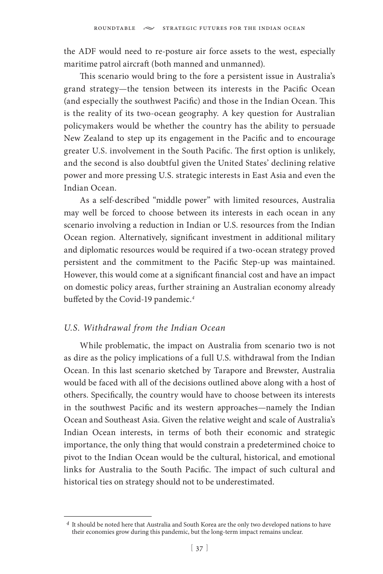the ADF would need to re-posture air force assets to the west, especially maritime patrol aircraft (both manned and unmanned).

This scenario would bring to the fore a persistent issue in Australia's grand strategy—the tension between its interests in the Pacific Ocean (and especially the southwest Pacific) and those in the Indian Ocean. This is the reality of its two-ocean geography. A key question for Australian policymakers would be whether the country has the ability to persuade New Zealand to step up its engagement in the Pacific and to encourage greater U.S. involvement in the South Pacific. The first option is unlikely, and the second is also doubtful given the United States' declining relative power and more pressing U.S. strategic interests in East Asia and even the Indian Ocean.

As a self-described "middle power" with limited resources, Australia may well be forced to choose between its interests in each ocean in any scenario involving a reduction in Indian or U.S. resources from the Indian Ocean region. Alternatively, significant investment in additional military and diplomatic resources would be required if a two-ocean strategy proved persistent and the commitment to the Pacific Step-up was maintained. However, this would come at a significant financial cost and have an impact on domestic policy areas, further straining an Australian economy already buffeted by the Covid-19 pandemic.*<sup>4</sup>*

#### *U.S. Withdrawal from the Indian Ocean*

While problematic, the impact on Australia from scenario two is not as dire as the policy implications of a full U.S. withdrawal from the Indian Ocean. In this last scenario sketched by Tarapore and Brewster, Australia would be faced with all of the decisions outlined above along with a host of others. Specifically, the country would have to choose between its interests in the southwest Pacific and its western approaches—namely the Indian Ocean and Southeast Asia. Given the relative weight and scale of Australia's Indian Ocean interests, in terms of both their economic and strategic importance, the only thing that would constrain a predetermined choice to pivot to the Indian Ocean would be the cultural, historical, and emotional links for Australia to the South Pacific. The impact of such cultural and historical ties on strategy should not to be underestimated.

*<sup>4</sup>* It should be noted here that Australia and South Korea are the only two developed nations to have their economies grow during this pandemic, but the long-term impact remains unclear.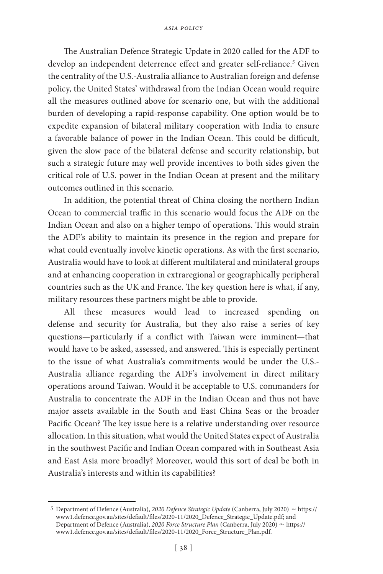The Australian Defence Strategic Update in 2020 called for the ADF to develop an independent deterrence effect and greater self-reliance.*<sup>5</sup>* Given the centrality of the U.S.-Australia alliance to Australian foreign and defense policy, the United States' withdrawal from the Indian Ocean would require all the measures outlined above for scenario one, but with the additional burden of developing a rapid-response capability. One option would be to expedite expansion of bilateral military cooperation with India to ensure a favorable balance of power in the Indian Ocean. This could be difficult, given the slow pace of the bilateral defense and security relationship, but such a strategic future may well provide incentives to both sides given the critical role of U.S. power in the Indian Ocean at present and the military outcomes outlined in this scenario.

In addition, the potential threat of China closing the northern Indian Ocean to commercial traffic in this scenario would focus the ADF on the Indian Ocean and also on a higher tempo of operations. This would strain the ADF's ability to maintain its presence in the region and prepare for what could eventually involve kinetic operations. As with the first scenario, Australia would have to look at different multilateral and minilateral groups and at enhancing cooperation in extraregional or geographically peripheral countries such as the UK and France. The key question here is what, if any, military resources these partners might be able to provide.

All these measures would lead to increased spending on defense and security for Australia, but they also raise a series of key questions—particularly if a conflict with Taiwan were imminent—that would have to be asked, assessed, and answered. This is especially pertinent to the issue of what Australia's commitments would be under the U.S.- Australia alliance regarding the ADF's involvement in direct military operations around Taiwan. Would it be acceptable to U.S. commanders for Australia to concentrate the ADF in the Indian Ocean and thus not have major assets available in the South and East China Seas or the broader Pacific Ocean? The key issue here is a relative understanding over resource allocation. In this situation, what would the United States expect of Australia in the southwest Pacific and Indian Ocean compared with in Southeast Asia and East Asia more broadly? Moreover, would this sort of deal be both in Australia's interests and within its capabilities?

<sup>&</sup>lt;sup>5</sup> Department of Defence (Australia), *2020 Defence Strategic Update* (Canberra, July 2020)  $\sim$  https:// www1.defence.gov.au/sites/default/files/2020-11/2020\_Defence\_Strategic\_Update.pdf; and Department of Defence (Australia), 2020 Force Structure Plan (Canberra, July 2020) ~ https:// www1.defence.gov.au/sites/default/files/2020-11/2020\_Force\_Structure\_Plan.pdf.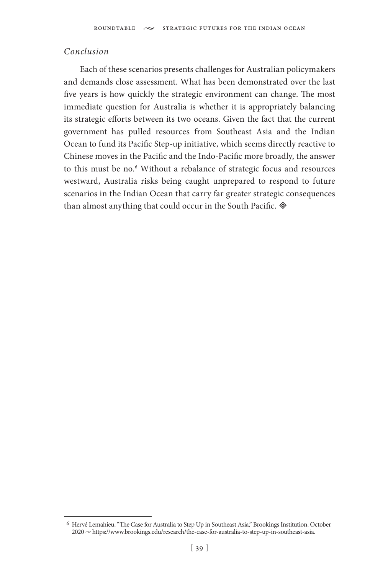### *Conclusion*

Each of these scenarios presents challenges for Australian policymakers and demands close assessment. What has been demonstrated over the last five years is how quickly the strategic environment can change. The most immediate question for Australia is whether it is appropriately balancing its strategic efforts between its two oceans. Given the fact that the current government has pulled resources from Southeast Asia and the Indian Ocean to fund its Pacific Step-up initiative, which seems directly reactive to Chinese moves in the Pacific and the Indo-Pacific more broadly, the answer to this must be no.*<sup>6</sup>* Without a rebalance of strategic focus and resources westward, Australia risks being caught unprepared to respond to future scenarios in the Indian Ocean that carry far greater strategic consequences than almost anything that could occur in the South Pacific.  $\otimes$ 

*<sup>6</sup>* Hervé Lemahieu, "The Case for Australia to Step Up in Southeast Asia," Brookings Institution, October 2020 u https://www.brookings.edu/research/the-case-for-australia-to-step-up-in-southeast-asia.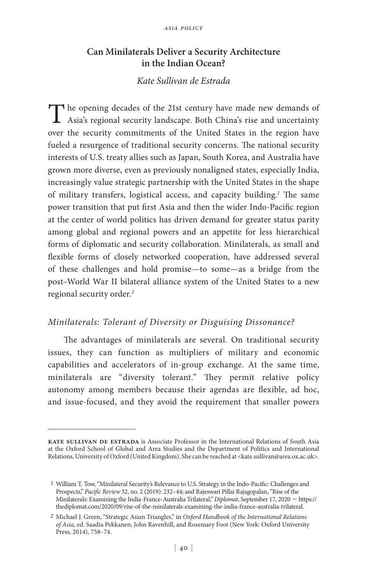## **Can Minilaterals Deliver a Security Architecture in the Indian Ocean?**

## *Kate Sullivan de Estrada*

The opening decades of the 21st century have made new demands of Asia's regional conviction Asia's regional security landscape. Both China's rise and uncertainty over the security commitments of the United States in the region have fueled a resurgence of traditional security concerns. The national security interests of U.S. treaty allies such as Japan, South Korea, and Australia have grown more diverse, even as previously nonaligned states, especially India, increasingly value strategic partnership with the United States in the shape of military transfers, logistical access, and capacity building.*<sup>1</sup>* The same power transition that put first Asia and then the wider Indo-Pacific region at the center of world politics has driven demand for greater status parity among global and regional powers and an appetite for less hierarchical forms of diplomatic and security collaboration. Minilaterals, as small and flexible forms of closely networked cooperation, have addressed several of these challenges and hold promise—to some—as a bridge from the post–World War II bilateral alliance system of the United States to a new regional security order.*<sup>2</sup>*

### *Minilaterals: Tolerant of Diversity or Disguising Dissonance?*

The advantages of minilaterals are several. On traditional security issues, they can function as multipliers of military and economic capabilities and accelerators of in-group exchange. At the same time, minilaterals are "diversity tolerant." They permit relative policy autonomy among members because their agendas are flexible, ad hoc, and issue-focused, and they avoid the requirement that smaller powers

**kate sullivan de estrada** is Associate Professor in the International Relations of South Asia at the Oxford School of Global and Area Studies and the Department of Politics and International Relations, University of Oxford (United Kingdom). She can be reached at <kate.sullivan@area.ox.ac.uk>.

*<sup>1</sup>* William T. Tow, "Minilateral Security's Relevance to U.S. Strategy in the Indo-Pacific: Challenges and Prospects," *Pacific Review* 32, no. 2 (2019): 232–44; and Rajeswari Pillai Rajagopalan, "Rise of the Minilaterals: Examining the India-France-Australia Trilateral," *Diplomat*, September 17, 2020  $\sim$  https:// thediplomat.com/2020/09/rise-of-the-minilaterals-examining-the-india-france-australia-trilateral.

*<sup>2</sup>* Michael J. Green, "Strategic Asian Triangles," in *Oxford Handbook of the International Relations of Asia*, ed. Saadia Pekkanen, John Ravenhill, and Rosemary Foot (New York: Oxford University Press, 2014), 758–74.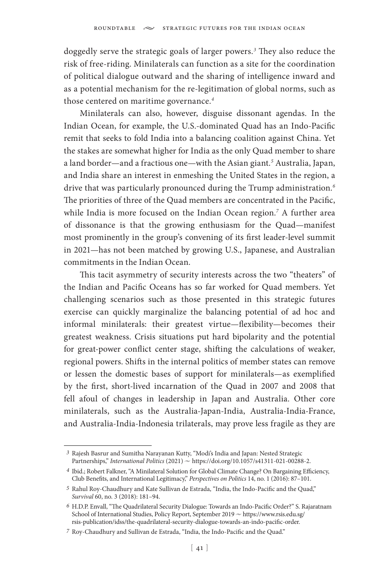doggedly serve the strategic goals of larger powers.*<sup>3</sup>* They also reduce the risk of free-riding. Minilaterals can function as a site for the coordination of political dialogue outward and the sharing of intelligence inward and as a potential mechanism for the re-legitimation of global norms, such as those centered on maritime governance.*<sup>4</sup>*

Minilaterals can also, however, disguise dissonant agendas. In the Indian Ocean, for example, the U.S.-dominated Quad has an Indo-Pacific remit that seeks to fold India into a balancing coalition against China. Yet the stakes are somewhat higher for India as the only Quad member to share a land border—and a fractious one—with the Asian giant.*<sup>5</sup>* Australia, Japan, and India share an interest in enmeshing the United States in the region, a drive that was particularly pronounced during the Trump administration.*<sup>6</sup>* The priorities of three of the Quad members are concentrated in the Pacific, while India is more focused on the Indian Ocean region.*<sup>7</sup>* A further area of dissonance is that the growing enthusiasm for the Quad—manifest most prominently in the group's convening of its first leader-level summit in 2021—has not been matched by growing U.S., Japanese, and Australian commitments in the Indian Ocean.

This tacit asymmetry of security interests across the two "theaters" of the Indian and Pacific Oceans has so far worked for Quad members. Yet challenging scenarios such as those presented in this strategic futures exercise can quickly marginalize the balancing potential of ad hoc and informal minilaterals: their greatest virtue—flexibility—becomes their greatest weakness. Crisis situations put hard bipolarity and the potential for great-power conflict center stage, shifting the calculations of weaker, regional powers. Shifts in the internal politics of member states can remove or lessen the domestic bases of support for minilaterals—as exemplified by the first, short-lived incarnation of the Quad in 2007 and 2008 that fell afoul of changes in leadership in Japan and Australia. Other core minilaterals, such as the Australia-Japan-India, Australia-India-France, and Australia-India-Indonesia trilaterals, may prove less fragile as they are

*<sup>3</sup>* Rajesh Basrur and Sumitha Narayanan Kutty, "Modi's India and Japan: Nested Strategic Partnerships," *International Politics* (2021)  $\sim$  https://doi.org/10.1057/s41311-021-00288-2.

*<sup>4</sup>* Ibid.; Robert Falkner, "A Minilateral Solution for Global Climate Change? On Bargaining Efficiency, Club Benefits, and International Legitimacy," *Perspectives on Politics* 14, no. 1 (2016): 87–101.

*<sup>5</sup>* Rahul Roy-Chaudhury and Kate Sullivan de Estrada, "India, the Indo-Pacific and the Quad," *Survival* 60, no. 3 (2018): 181–94.

*<sup>6</sup>* H.D.P. Envall, "The Quadrilateral Security Dialogue: Towards an Indo-Pacific Order?" S. Rajaratnam School of International Studies, Policy Report, September 2019  $\sim$  https://www.rsis.edu.sg/ rsis-publication/idss/the-quadrilateral-security-dialogue-towards-an-indo-pacific-order.

*<sup>7</sup>* Roy-Chaudhury and Sullivan de Estrada, "India, the Indo-Pacific and the Quad."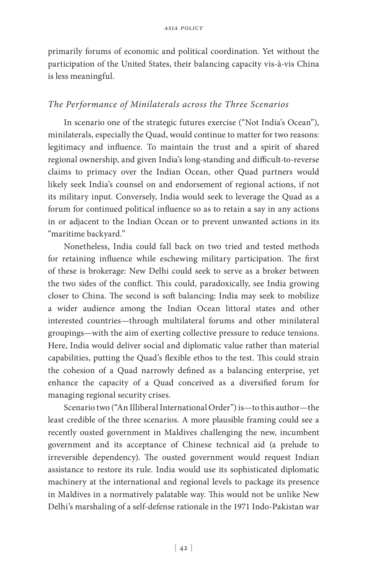primarily forums of economic and political coordination. Yet without the participation of the United States, their balancing capacity vis-à-vis China is less meaningful.

### *The Performance of Minilaterals across the Three Scenarios*

In scenario one of the strategic futures exercise ("Not India's Ocean"), minilaterals, especially the Quad, would continue to matter for two reasons: legitimacy and influence. To maintain the trust and a spirit of shared regional ownership, and given India's long-standing and difficult-to-reverse claims to primacy over the Indian Ocean, other Quad partners would likely seek India's counsel on and endorsement of regional actions, if not its military input. Conversely, India would seek to leverage the Quad as a forum for continued political influence so as to retain a say in any actions in or adjacent to the Indian Ocean or to prevent unwanted actions in its "maritime backyard."

Nonetheless, India could fall back on two tried and tested methods for retaining influence while eschewing military participation. The first of these is brokerage: New Delhi could seek to serve as a broker between the two sides of the conflict. This could, paradoxically, see India growing closer to China. The second is soft balancing: India may seek to mobilize a wider audience among the Indian Ocean littoral states and other interested countries—through multilateral forums and other minilateral groupings—with the aim of exerting collective pressure to reduce tensions. Here, India would deliver social and diplomatic value rather than material capabilities, putting the Quad's flexible ethos to the test. This could strain the cohesion of a Quad narrowly defined as a balancing enterprise, yet enhance the capacity of a Quad conceived as a diversified forum for managing regional security crises.

Scenario two ("An Illiberal International Order") is—to this author—the least credible of the three scenarios. A more plausible framing could see a recently ousted government in Maldives challenging the new, incumbent government and its acceptance of Chinese technical aid (a prelude to irreversible dependency). The ousted government would request Indian assistance to restore its rule. India would use its sophisticated diplomatic machinery at the international and regional levels to package its presence in Maldives in a normatively palatable way. This would not be unlike New Delhi's marshaling of a self-defense rationale in the 1971 Indo-Pakistan war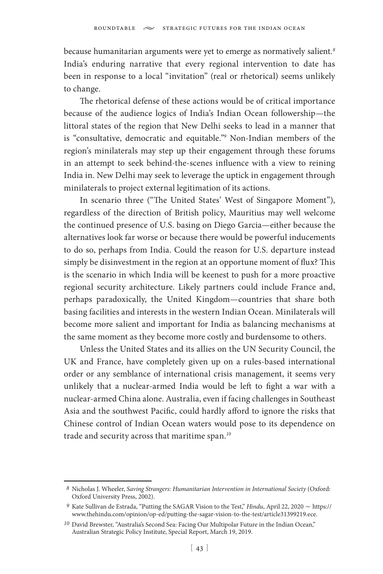because humanitarian arguments were yet to emerge as normatively salient.*<sup>8</sup>* India's enduring narrative that every regional intervention to date has been in response to a local "invitation" (real or rhetorical) seems unlikely to change.

The rhetorical defense of these actions would be of critical importance because of the audience logics of India's Indian Ocean followership—the littoral states of the region that New Delhi seeks to lead in a manner that is "consultative, democratic and equitable."*<sup>9</sup>* Non-Indian members of the region's minilaterals may step up their engagement through these forums in an attempt to seek behind-the-scenes influence with a view to reining India in. New Delhi may seek to leverage the uptick in engagement through minilaterals to project external legitimation of its actions.

In scenario three ("The United States' West of Singapore Moment"), regardless of the direction of British policy, Mauritius may well welcome the continued presence of U.S. basing on Diego Garcia—either because the alternatives look far worse or because there would be powerful inducements to do so, perhaps from India. Could the reason for U.S. departure instead simply be disinvestment in the region at an opportune moment of flux? This is the scenario in which India will be keenest to push for a more proactive regional security architecture. Likely partners could include France and, perhaps paradoxically, the United Kingdom—countries that share both basing facilities and interests in the western Indian Ocean. Minilaterals will become more salient and important for India as balancing mechanisms at the same moment as they become more costly and burdensome to others.

Unless the United States and its allies on the UN Security Council, the UK and France, have completely given up on a rules-based international order or any semblance of international crisis management, it seems very unlikely that a nuclear-armed India would be left to fight a war with a nuclear-armed China alone. Australia, even if facing challenges in Southeast Asia and the southwest Pacific, could hardly afford to ignore the risks that Chinese control of Indian Ocean waters would pose to its dependence on trade and security across that maritime span.*<sup>10</sup>*

*<sup>8</sup>* Nicholas J. Wheeler, *Saving Strangers: Humanitarian Intervention in International Society* (Oxford: Oxford University Press, 2002).

 $^9$  Kate Sullivan de Estrada, "Putting the SAGAR Vision to the Test,"  $\it{Hindu}$ , April 22, 2020  $\sim$ https:// www.thehindu.com/opinion/op-ed/putting-the-sagar-vision-to-the-test/article31399219.ece.

<sup>&</sup>lt;sup>10</sup> David Brewster, "Australia's Second Sea: Facing Our Multipolar Future in the Indian Ocean," Australian Strategic Policy Institute, Special Report, March 19, 2019.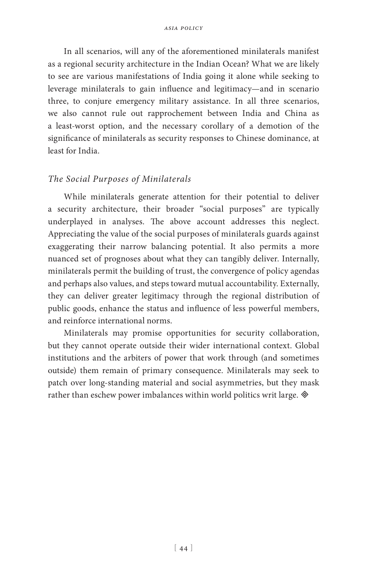In all scenarios, will any of the aforementioned minilaterals manifest as a regional security architecture in the Indian Ocean? What we are likely to see are various manifestations of India going it alone while seeking to leverage minilaterals to gain influence and legitimacy—and in scenario three, to conjure emergency military assistance. In all three scenarios, we also cannot rule out rapprochement between India and China as a least-worst option, and the necessary corollary of a demotion of the significance of minilaterals as security responses to Chinese dominance, at least for India.

### *The Social Purposes of Minilaterals*

While minilaterals generate attention for their potential to deliver a security architecture, their broader "social purposes" are typically underplayed in analyses. The above account addresses this neglect. Appreciating the value of the social purposes of minilaterals guards against exaggerating their narrow balancing potential. It also permits a more nuanced set of prognoses about what they can tangibly deliver. Internally, minilaterals permit the building of trust, the convergence of policy agendas and perhaps also values, and steps toward mutual accountability. Externally, they can deliver greater legitimacy through the regional distribution of public goods, enhance the status and influence of less powerful members, and reinforce international norms.

Minilaterals may promise opportunities for security collaboration, but they cannot operate outside their wider international context. Global institutions and the arbiters of power that work through (and sometimes outside) them remain of primary consequence. Minilaterals may seek to patch over long-standing material and social asymmetries, but they mask rather than eschew power imbalances within world politics writ large.  $\otimes$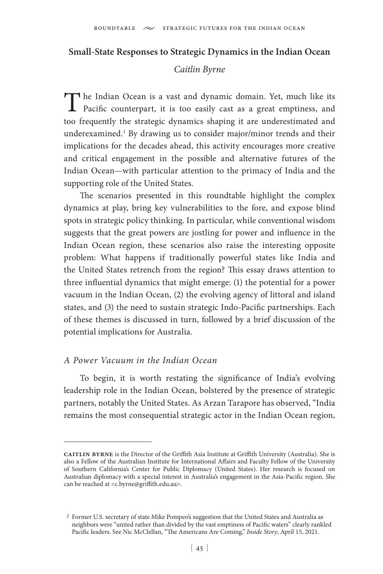#### **Small-State Responses to Strategic Dynamics in the Indian Ocean**

### *Caitlin Byrne*

The Indian Ocean is a vast and dynamic domain. Yet, much like its Pacific counterpart, it is too easily cast as a great emptiness, and too frequently the strategic dynamics shaping it are underestimated and underexamined.<sup>1</sup> By drawing us to consider major/minor trends and their implications for the decades ahead, this activity encourages more creative and critical engagement in the possible and alternative futures of the Indian Ocean—with particular attention to the primacy of India and the supporting role of the United States.

The scenarios presented in this roundtable highlight the complex dynamics at play, bring key vulnerabilities to the fore, and expose blind spots in strategic policy thinking. In particular, while conventional wisdom suggests that the great powers are jostling for power and influence in the Indian Ocean region, these scenarios also raise the interesting opposite problem: What happens if traditionally powerful states like India and the United States retrench from the region? This essay draws attention to three influential dynamics that might emerge: (1) the potential for a power vacuum in the Indian Ocean, (2) the evolving agency of littoral and island states, and (3) the need to sustain strategic Indo-Pacific partnerships. Each of these themes is discussed in turn, followed by a brief discussion of the potential implications for Australia.

#### *A Power Vacuum in the Indian Ocean*

To begin, it is worth restating the significance of India's evolving leadership role in the Indian Ocean, bolstered by the presence of strategic partners, notably the United States. As Arzan Tarapore has observed, "India remains the most consequential strategic actor in the Indian Ocean region,

**caitlin byrne** is the Director of the Griffith Asia Institute at Griffith University (Australia). She is also a Fellow of the Australian Institute for International Affairs and Faculty Fellow of the University of Southern California's Center for Public Diplomacy (United States). Her research is focused on Australian diplomacy with a special interest in Australia's engagement in the Asia-Pacific region. She can be reached at <c.byrne@griffith.edu.au>.

*<sup>1</sup>* Former U.S. secretary of state Mike Pompeo's suggestion that the United States and Australia as neighbors were "united rather than divided by the vast emptiness of Pacific waters" clearly rankled Pacific leaders. See Nic McClellan, "The Americans Are Coming," *Inside Story*, April 15, 2021.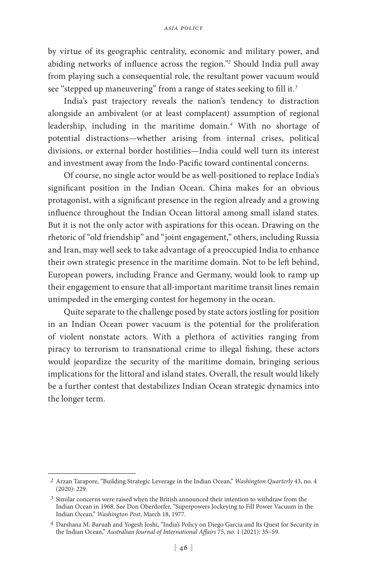by virtue of its geographic centrality, economic and military power, and abiding networks of influence across the region."*<sup>2</sup>* Should India pull away from playing such a consequential role, the resultant power vacuum would see "stepped up maneuvering" from a range of states seeking to fill it.*<sup>3</sup>*

India's past trajectory reveals the nation's tendency to distraction alongside an ambivalent (or at least complacent) assumption of regional leadership, including in the maritime domain.*<sup>4</sup>* With no shortage of potential distractions—whether arising from internal crises, political divisions, or external border hostilities—India could well turn its interest and investment away from the Indo-Pacific toward continental concerns.

Of course, no single actor would be as well-positioned to replace India's significant position in the Indian Ocean. China makes for an obvious protagonist, with a significant presence in the region already and a growing influence throughout the Indian Ocean littoral among small island states. But it is not the only actor with aspirations for this ocean. Drawing on the rhetoric of "old friendship" and "joint engagement," others, including Russia and Iran, may well seek to take advantage of a preoccupied India to enhance their own strategic presence in the maritime domain. Not to be left behind, European powers, including France and Germany, would look to ramp up their engagement to ensure that all-important maritime transit lines remain unimpeded in the emerging contest for hegemony in the ocean.

Quite separate to the challenge posed by state actors jostling for position in an Indian Ocean power vacuum is the potential for the proliferation of violent nonstate actors. With a plethora of activities ranging from piracy to terrorism to transnational crime to illegal fishing, these actors would jeopardize the security of the maritime domain, bringing serious implications for the littoral and island states. Overall, the result would likely be a further contest that destabilizes Indian Ocean strategic dynamics into the longer term.

*<sup>2</sup>* Arzan Tarapore, "Building Strategic Leverage in the Indian Ocean," *Washington Quarterly* 43, no. 4 (2020): 229.

*<sup>3</sup>* Similar concerns were raised when the British announced their intention to withdraw from the Indian Ocean in 1968. See Don Oberdorfer, "Superpowers Jockeying to Fill Power Vacuum in the Indian Ocean," *Washington Post*, March 18, 1977.

*<sup>4</sup>* Darshana M. Baruah and Yogesh Joshi, "India's Policy on Diego Garcia and Its Quest for Security in the Indian Ocean," *Australian Journal of International Affairs* 75, no. 1 (2021): 35–59.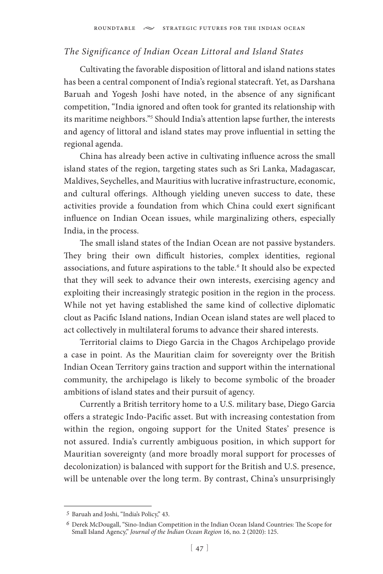### *The Significance of Indian Ocean Littoral and Island States*

Cultivating the favorable disposition of littoral and island nations states has been a central component of India's regional statecraft. Yet, as Darshana Baruah and Yogesh Joshi have noted, in the absence of any significant competition, "India ignored and often took for granted its relationship with its maritime neighbors."*<sup>5</sup>* Should India's attention lapse further, the interests and agency of littoral and island states may prove influential in setting the regional agenda.

China has already been active in cultivating influence across the small island states of the region, targeting states such as Sri Lanka, Madagascar, Maldives, Seychelles, and Mauritius with lucrative infrastructure, economic, and cultural offerings. Although yielding uneven success to date, these activities provide a foundation from which China could exert significant influence on Indian Ocean issues, while marginalizing others, especially India, in the process.

The small island states of the Indian Ocean are not passive bystanders. They bring their own difficult histories, complex identities, regional associations, and future aspirations to the table.*<sup>6</sup>* It should also be expected that they will seek to advance their own interests, exercising agency and exploiting their increasingly strategic position in the region in the process. While not yet having established the same kind of collective diplomatic clout as Pacific Island nations, Indian Ocean island states are well placed to act collectively in multilateral forums to advance their shared interests.

Territorial claims to Diego Garcia in the Chagos Archipelago provide a case in point. As the Mauritian claim for sovereignty over the British Indian Ocean Territory gains traction and support within the international community, the archipelago is likely to become symbolic of the broader ambitions of island states and their pursuit of agency.

Currently a British territory home to a U.S. military base, Diego Garcia offers a strategic Indo-Pacific asset. But with increasing contestation from within the region, ongoing support for the United States' presence is not assured. India's currently ambiguous position, in which support for Mauritian sovereignty (and more broadly moral support for processes of decolonization) is balanced with support for the British and U.S. presence, will be untenable over the long term. By contrast, China's unsurprisingly

*<sup>5</sup>* Baruah and Joshi, "India's Policy," 43.

*<sup>6</sup>* Derek McDougall, "Sino-Indian Competition in the Indian Ocean Island Countries: The Scope for Small Island Agency," *Journal of the Indian Ocean Region* 16, no. 2 (2020): 125.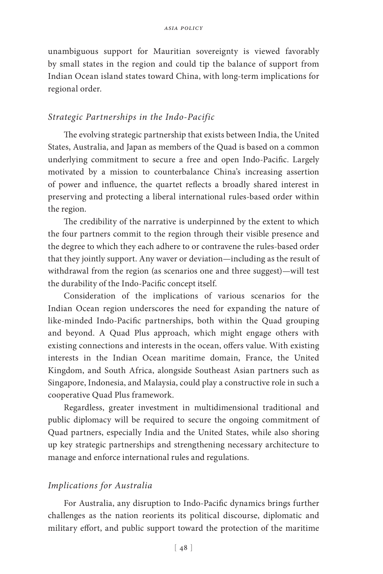unambiguous support for Mauritian sovereignty is viewed favorably by small states in the region and could tip the balance of support from Indian Ocean island states toward China, with long-term implications for regional order.

#### *Strategic Partnerships in the Indo-Pacific*

The evolving strategic partnership that exists between India, the United States, Australia, and Japan as members of the Quad is based on a common underlying commitment to secure a free and open Indo-Pacific. Largely motivated by a mission to counterbalance China's increasing assertion of power and influence, the quartet reflects a broadly shared interest in preserving and protecting a liberal international rules-based order within the region.

The credibility of the narrative is underpinned by the extent to which the four partners commit to the region through their visible presence and the degree to which they each adhere to or contravene the rules-based order that they jointly support. Any waver or deviation—including as the result of withdrawal from the region (as scenarios one and three suggest)—will test the durability of the Indo-Pacific concept itself.

Consideration of the implications of various scenarios for the Indian Ocean region underscores the need for expanding the nature of like-minded Indo-Pacific partnerships, both within the Quad grouping and beyond. A Quad Plus approach, which might engage others with existing connections and interests in the ocean, offers value. With existing interests in the Indian Ocean maritime domain, France, the United Kingdom, and South Africa, alongside Southeast Asian partners such as Singapore, Indonesia, and Malaysia, could play a constructive role in such a cooperative Quad Plus framework.

Regardless, greater investment in multidimensional traditional and public diplomacy will be required to secure the ongoing commitment of Quad partners, especially India and the United States, while also shoring up key strategic partnerships and strengthening necessary architecture to manage and enforce international rules and regulations.

### *Implications for Australia*

For Australia, any disruption to Indo-Pacific dynamics brings further challenges as the nation reorients its political discourse, diplomatic and military effort, and public support toward the protection of the maritime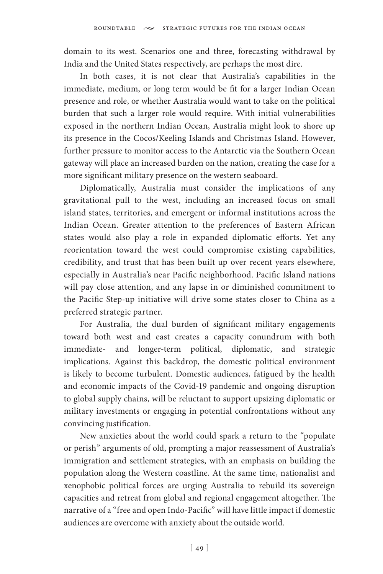domain to its west. Scenarios one and three, forecasting withdrawal by India and the United States respectively, are perhaps the most dire.

In both cases, it is not clear that Australia's capabilities in the immediate, medium, or long term would be fit for a larger Indian Ocean presence and role, or whether Australia would want to take on the political burden that such a larger role would require. With initial vulnerabilities exposed in the northern Indian Ocean, Australia might look to shore up its presence in the Cocos/Keeling Islands and Christmas Island. However, further pressure to monitor access to the Antarctic via the Southern Ocean gateway will place an increased burden on the nation, creating the case for a more significant military presence on the western seaboard.

Diplomatically, Australia must consider the implications of any gravitational pull to the west, including an increased focus on small island states, territories, and emergent or informal institutions across the Indian Ocean. Greater attention to the preferences of Eastern African states would also play a role in expanded diplomatic efforts. Yet any reorientation toward the west could compromise existing capabilities, credibility, and trust that has been built up over recent years elsewhere, especially in Australia's near Pacific neighborhood. Pacific Island nations will pay close attention, and any lapse in or diminished commitment to the Pacific Step-up initiative will drive some states closer to China as a preferred strategic partner.

For Australia, the dual burden of significant military engagements toward both west and east creates a capacity conundrum with both immediate- and longer-term political, diplomatic, and strategic implications. Against this backdrop, the domestic political environment is likely to become turbulent. Domestic audiences, fatigued by the health and economic impacts of the Covid-19 pandemic and ongoing disruption to global supply chains, will be reluctant to support upsizing diplomatic or military investments or engaging in potential confrontations without any convincing justification.

New anxieties about the world could spark a return to the "populate or perish" arguments of old, prompting a major reassessment of Australia's immigration and settlement strategies, with an emphasis on building the population along the Western coastline. At the same time, nationalist and xenophobic political forces are urging Australia to rebuild its sovereign capacities and retreat from global and regional engagement altogether. The narrative of a "free and open Indo-Pacific" will have little impact if domestic audiences are overcome with anxiety about the outside world.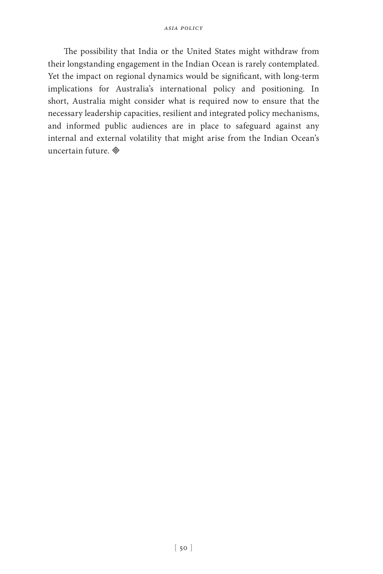The possibility that India or the United States might withdraw from their longstanding engagement in the Indian Ocean is rarely contemplated. Yet the impact on regional dynamics would be significant, with long-term implications for Australia's international policy and positioning. In short, Australia might consider what is required now to ensure that the necessary leadership capacities, resilient and integrated policy mechanisms, and informed public audiences are in place to safeguard against any internal and external volatility that might arise from the Indian Ocean's uncertain future.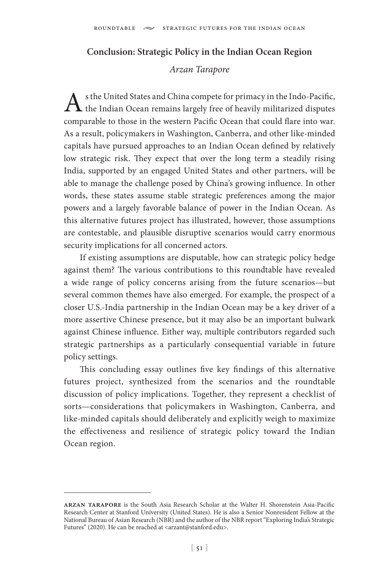## **Conclusion: Strategic Policy in the Indian Ocean Region**

### *Arzan Tarapore*

As the United States and China compete for primacy in the Indo-Pacific,<br>the Indian Ocean remains largely free of heavily militarized disputes comparable to those in the western Pacific Ocean that could flare into war. As a result, policymakers in Washington, Canberra, and other like-minded capitals have pursued approaches to an Indian Ocean defined by relatively low strategic risk. They expect that over the long term a steadily rising India, supported by an engaged United States and other partners, will be able to manage the challenge posed by China's growing influence. In other words, these states assume stable strategic preferences among the major powers and a largely favorable balance of power in the Indian Ocean. As this alternative futures project has illustrated, however, those assumptions are contestable, and plausible disruptive scenarios would carry enormous security implications for all concerned actors.

If existing assumptions are disputable, how can strategic policy hedge against them? The various contributions to this roundtable have revealed a wide range of policy concerns arising from the future scenarios—but several common themes have also emerged. For example, the prospect of a closer U.S.-India partnership in the Indian Ocean may be a key driver of a more assertive Chinese presence, but it may also be an important bulwark against Chinese influence. Either way, multiple contributors regarded such strategic partnerships as a particularly consequential variable in future policy settings.

This concluding essay outlines five key findings of this alternative futures project, synthesized from the scenarios and the roundtable discussion of policy implications. Together, they represent a checklist of sorts—considerations that policymakers in Washington, Canberra, and like-minded capitals should deliberately and explicitly weigh to maximize the effectiveness and resilience of strategic policy toward the Indian Ocean region.

**arzan tarapore** is the South Asia Research Scholar at the Walter H. Shorenstein Asia-Pacific Research Center at Stanford University (United States). He is also a Senior Nonresident Fellow at the National Bureau of Asian Research (NBR) and the author of the NBR report "Exploring India's Strategic Futures" (2020). He can be reached at <arzant@stanford.edu>.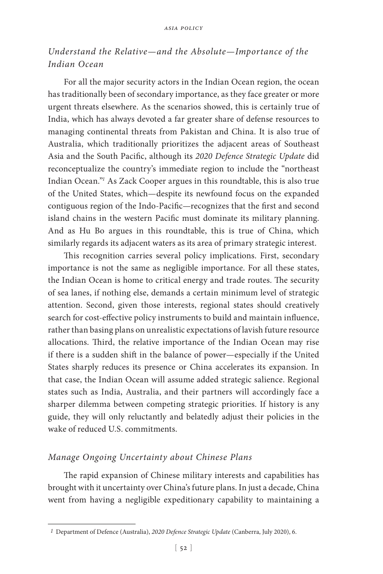# *Understand the Relative—and the Absolute—Importance of the Indian Ocean*

For all the major security actors in the Indian Ocean region, the ocean has traditionally been of secondary importance, as they face greater or more urgent threats elsewhere. As the scenarios showed, this is certainly true of India, which has always devoted a far greater share of defense resources to managing continental threats from Pakistan and China. It is also true of Australia, which traditionally prioritizes the adjacent areas of Southeast Asia and the South Pacific, although its *2020 Defence Strategic Update* did reconceptualize the country's immediate region to include the "northeast Indian Ocean."*<sup>1</sup>* As Zack Cooper argues in this roundtable, this is also true of the United States, which—despite its newfound focus on the expanded contiguous region of the Indo-Pacific—recognizes that the first and second island chains in the western Pacific must dominate its military planning. And as Hu Bo argues in this roundtable, this is true of China, which similarly regards its adjacent waters as its area of primary strategic interest.

This recognition carries several policy implications. First, secondary importance is not the same as negligible importance. For all these states, the Indian Ocean is home to critical energy and trade routes. The security of sea lanes, if nothing else, demands a certain minimum level of strategic attention. Second, given those interests, regional states should creatively search for cost-effective policy instruments to build and maintain influence, rather than basing plans on unrealistic expectations of lavish future resource allocations. Third, the relative importance of the Indian Ocean may rise if there is a sudden shift in the balance of power—especially if the United States sharply reduces its presence or China accelerates its expansion. In that case, the Indian Ocean will assume added strategic salience. Regional states such as India, Australia, and their partners will accordingly face a sharper dilemma between competing strategic priorities. If history is any guide, they will only reluctantly and belatedly adjust their policies in the wake of reduced U.S. commitments.

### *Manage Ongoing Uncertainty about Chinese Plans*

The rapid expansion of Chinese military interests and capabilities has brought with it uncertainty over China's future plans. In just a decade, China went from having a negligible expeditionary capability to maintaining a

*<sup>1</sup>* Department of Defence (Australia), *2020 Defence Strategic Update* (Canberra, July 2020), 6.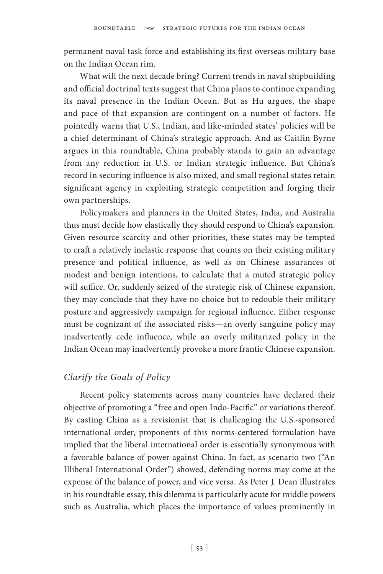permanent naval task force and establishing its first overseas military base on the Indian Ocean rim.

What will the next decade bring? Current trends in naval shipbuilding and official doctrinal texts suggest that China plans to continue expanding its naval presence in the Indian Ocean. But as Hu argues, the shape and pace of that expansion are contingent on a number of factors. He pointedly warns that U.S., Indian, and like-minded states' policies will be a chief determinant of China's strategic approach. And as Caitlin Byrne argues in this roundtable, China probably stands to gain an advantage from any reduction in U.S. or Indian strategic influence. But China's record in securing influence is also mixed, and small regional states retain significant agency in exploiting strategic competition and forging their own partnerships.

Policymakers and planners in the United States, India, and Australia thus must decide how elastically they should respond to China's expansion. Given resource scarcity and other priorities, these states may be tempted to craft a relatively inelastic response that counts on their existing military presence and political influence, as well as on Chinese assurances of modest and benign intentions, to calculate that a muted strategic policy will suffice. Or, suddenly seized of the strategic risk of Chinese expansion, they may conclude that they have no choice but to redouble their military posture and aggressively campaign for regional influence. Either response must be cognizant of the associated risks—an overly sanguine policy may inadvertently cede influence, while an overly militarized policy in the Indian Ocean may inadvertently provoke a more frantic Chinese expansion.

## *Clarify the Goals of Policy*

Recent policy statements across many countries have declared their objective of promoting a "free and open Indo-Pacific" or variations thereof. By casting China as a revisionist that is challenging the U.S.-sponsored international order, proponents of this norms-centered formulation have implied that the liberal international order is essentially synonymous with a favorable balance of power against China. In fact, as scenario two ("An Illiberal International Order") showed, defending norms may come at the expense of the balance of power, and vice versa. As Peter J. Dean illustrates in his roundtable essay, this dilemma is particularly acute for middle powers such as Australia, which places the importance of values prominently in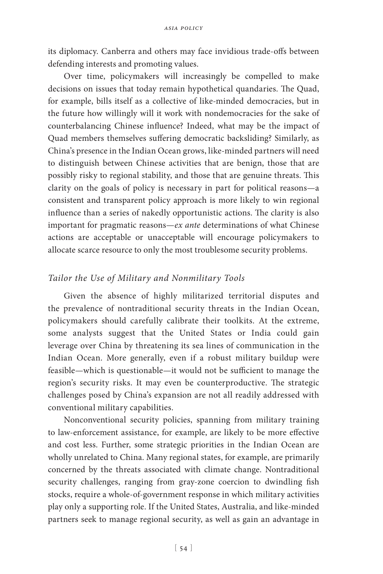its diplomacy. Canberra and others may face invidious trade-offs between defending interests and promoting values.

Over time, policymakers will increasingly be compelled to make decisions on issues that today remain hypothetical quandaries. The Quad, for example, bills itself as a collective of like-minded democracies, but in the future how willingly will it work with nondemocracies for the sake of counterbalancing Chinese influence? Indeed, what may be the impact of Quad members themselves suffering democratic backsliding? Similarly, as China's presence in the Indian Ocean grows, like-minded partners will need to distinguish between Chinese activities that are benign, those that are possibly risky to regional stability, and those that are genuine threats. This clarity on the goals of policy is necessary in part for political reasons—a consistent and transparent policy approach is more likely to win regional influence than a series of nakedly opportunistic actions. The clarity is also important for pragmatic reasons—*ex ante* determinations of what Chinese actions are acceptable or unacceptable will encourage policymakers to allocate scarce resource to only the most troublesome security problems.

### *Tailor the Use of Military and Nonmilitary Tools*

Given the absence of highly militarized territorial disputes and the prevalence of nontraditional security threats in the Indian Ocean, policymakers should carefully calibrate their toolkits. At the extreme, some analysts suggest that the United States or India could gain leverage over China by threatening its sea lines of communication in the Indian Ocean. More generally, even if a robust military buildup were feasible—which is questionable—it would not be sufficient to manage the region's security risks. It may even be counterproductive. The strategic challenges posed by China's expansion are not all readily addressed with conventional military capabilities.

Nonconventional security policies, spanning from military training to law-enforcement assistance, for example, are likely to be more effective and cost less. Further, some strategic priorities in the Indian Ocean are wholly unrelated to China. Many regional states, for example, are primarily concerned by the threats associated with climate change. Nontraditional security challenges, ranging from gray-zone coercion to dwindling fish stocks, require a whole-of-government response in which military activities play only a supporting role. If the United States, Australia, and like-minded partners seek to manage regional security, as well as gain an advantage in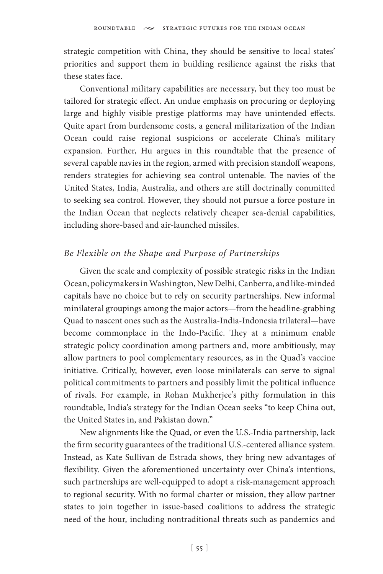strategic competition with China, they should be sensitive to local states' priorities and support them in building resilience against the risks that these states face.

Conventional military capabilities are necessary, but they too must be tailored for strategic effect. An undue emphasis on procuring or deploying large and highly visible prestige platforms may have unintended effects. Quite apart from burdensome costs, a general militarization of the Indian Ocean could raise regional suspicions or accelerate China's military expansion. Further, Hu argues in this roundtable that the presence of several capable navies in the region, armed with precision standoff weapons, renders strategies for achieving sea control untenable. The navies of the United States, India, Australia, and others are still doctrinally committed to seeking sea control. However, they should not pursue a force posture in the Indian Ocean that neglects relatively cheaper sea-denial capabilities, including shore-based and air-launched missiles.

## *Be Flexible on the Shape and Purpose of Partnerships*

Given the scale and complexity of possible strategic risks in the Indian Ocean, policymakers in Washington, New Delhi, Canberra, and like-minded capitals have no choice but to rely on security partnerships. New informal minilateral groupings among the major actors—from the headline-grabbing Quad to nascent ones such as the Australia-India-Indonesia trilateral—have become commonplace in the Indo-Pacific. They at a minimum enable strategic policy coordination among partners and, more ambitiously, may allow partners to pool complementary resources, as in the Quad's vaccine initiative. Critically, however, even loose minilaterals can serve to signal political commitments to partners and possibly limit the political influence of rivals. For example, in Rohan Mukherjee's pithy formulation in this roundtable, India's strategy for the Indian Ocean seeks "to keep China out, the United States in, and Pakistan down."

New alignments like the Quad, or even the U.S.-India partnership, lack the firm security guarantees of the traditional U.S.-centered alliance system. Instead, as Kate Sullivan de Estrada shows, they bring new advantages of flexibility. Given the aforementioned uncertainty over China's intentions, such partnerships are well-equipped to adopt a risk-management approach to regional security. With no formal charter or mission, they allow partner states to join together in issue-based coalitions to address the strategic need of the hour, including nontraditional threats such as pandemics and